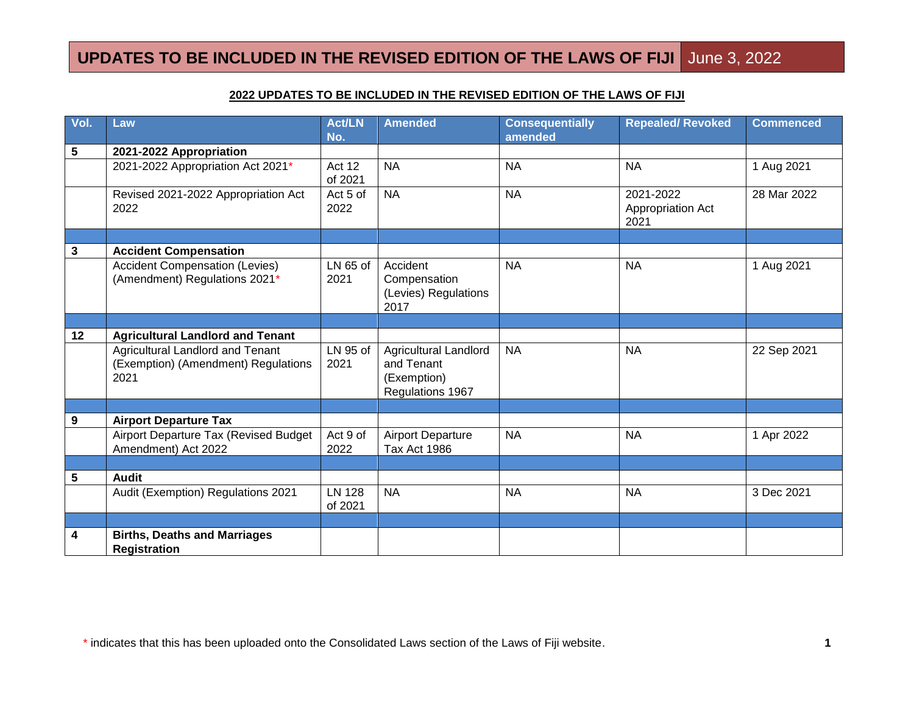#### **2022 UPDATES TO BE INCLUDED IN THE REVISED EDITION OF THE LAWS OF FIJI**

| Vol.            | Law                                                                                    | <b>Act/LN</b><br>No.     | <b>Amended</b>                                                                | <b>Consequentially</b><br>amended | <b>Repealed/ Revoked</b>               | <b>Commenced</b> |
|-----------------|----------------------------------------------------------------------------------------|--------------------------|-------------------------------------------------------------------------------|-----------------------------------|----------------------------------------|------------------|
| $5\phantom{.0}$ | 2021-2022 Appropriation                                                                |                          |                                                                               |                                   |                                        |                  |
|                 | 2021-2022 Appropriation Act 2021*                                                      | Act 12<br>of 2021        | <b>NA</b>                                                                     | <b>NA</b>                         | <b>NA</b>                              | 1 Aug 2021       |
|                 | Revised 2021-2022 Appropriation Act<br>2022                                            | Act 5 of<br>2022         | <b>NA</b>                                                                     | <b>NA</b>                         | 2021-2022<br>Appropriation Act<br>2021 | 28 Mar 2022      |
|                 |                                                                                        |                          |                                                                               |                                   |                                        |                  |
| 3               | <b>Accident Compensation</b>                                                           |                          |                                                                               |                                   |                                        |                  |
|                 | <b>Accident Compensation (Levies)</b><br>(Amendment) Regulations 2021*                 | LN 65 of<br>2021         | Accident<br>Compensation<br>(Levies) Regulations<br>2017                      | <b>NA</b>                         | <b>NA</b>                              | 1 Aug 2021       |
|                 |                                                                                        |                          |                                                                               |                                   |                                        |                  |
| 12              | <b>Agricultural Landlord and Tenant</b>                                                |                          |                                                                               |                                   |                                        |                  |
|                 | <b>Agricultural Landlord and Tenant</b><br>(Exemption) (Amendment) Regulations<br>2021 | LN 95 of<br>2021         | <b>Agricultural Landlord</b><br>and Tenant<br>(Exemption)<br>Regulations 1967 | <b>NA</b>                         | <b>NA</b>                              | 22 Sep 2021      |
|                 |                                                                                        |                          |                                                                               |                                   |                                        |                  |
| 9               | <b>Airport Departure Tax</b>                                                           |                          |                                                                               |                                   |                                        |                  |
|                 | Airport Departure Tax (Revised Budget<br>Amendment) Act 2022                           | Act 9 of<br>2022         | <b>Airport Departure</b><br>Tax Act 1986                                      | <b>NA</b>                         | <b>NA</b>                              | 1 Apr 2022       |
|                 |                                                                                        |                          |                                                                               |                                   |                                        |                  |
| 5               | <b>Audit</b>                                                                           |                          |                                                                               |                                   |                                        |                  |
|                 | Audit (Exemption) Regulations 2021                                                     | <b>LN 128</b><br>of 2021 | <b>NA</b>                                                                     | <b>NA</b>                         | <b>NA</b>                              | 3 Dec 2021       |
|                 |                                                                                        |                          |                                                                               |                                   |                                        |                  |
| 4               | <b>Births, Deaths and Marriages</b><br><b>Registration</b>                             |                          |                                                                               |                                   |                                        |                  |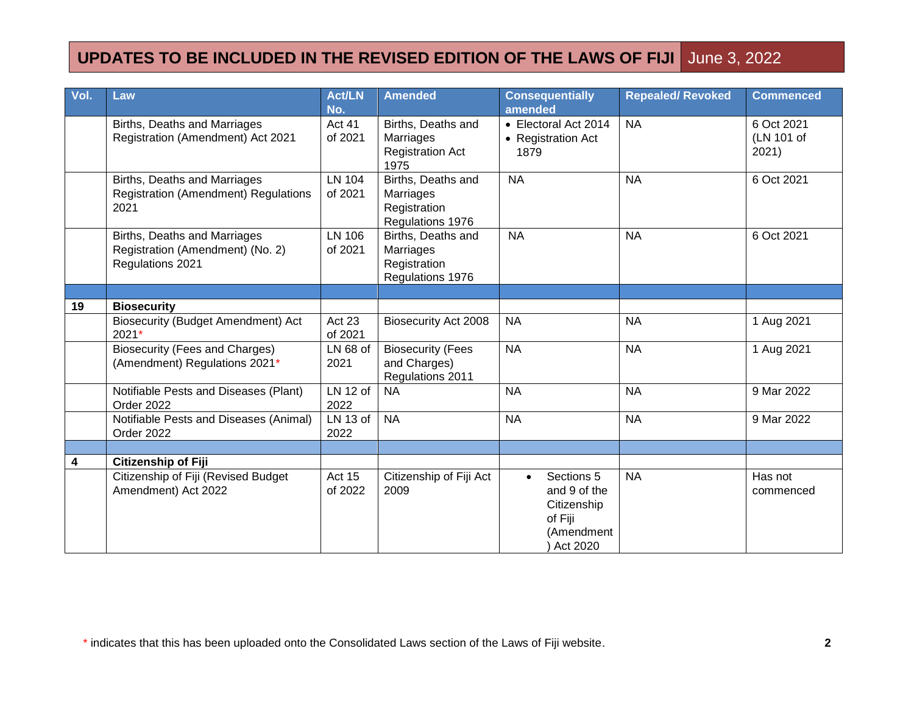| Vol. | Law                                                                                  | <b>Act/LN</b><br>No.     | <b>Amended</b>                                                      | <b>Consequentially</b><br>amended                                                           | <b>Repealed/ Revoked</b> | <b>Commenced</b>                  |
|------|--------------------------------------------------------------------------------------|--------------------------|---------------------------------------------------------------------|---------------------------------------------------------------------------------------------|--------------------------|-----------------------------------|
|      | Births, Deaths and Marriages<br>Registration (Amendment) Act 2021                    | <b>Act 41</b><br>of 2021 | Births, Deaths and<br>Marriages<br><b>Registration Act</b><br>1975  | • Electoral Act 2014<br>• Registration Act<br>1879                                          | <b>NA</b>                | 6 Oct 2021<br>(LN 101 of<br>2021) |
|      | Births, Deaths and Marriages<br><b>Registration (Amendment) Regulations</b><br>2021  | <b>LN 104</b><br>of 2021 | Births, Deaths and<br>Marriages<br>Registration<br>Regulations 1976 | <b>NA</b>                                                                                   | <b>NA</b>                | 6 Oct 2021                        |
|      | Births, Deaths and Marriages<br>Registration (Amendment) (No. 2)<br>Regulations 2021 | <b>LN 106</b><br>of 2021 | Births, Deaths and<br>Marriages<br>Registration<br>Regulations 1976 | <b>NA</b>                                                                                   | <b>NA</b>                | 6 Oct 2021                        |
|      |                                                                                      |                          |                                                                     |                                                                                             |                          |                                   |
| 19   | <b>Biosecurity</b>                                                                   |                          |                                                                     |                                                                                             |                          |                                   |
|      | <b>Biosecurity (Budget Amendment) Act</b><br>2021*                                   | Act 23<br>of 2021        | <b>Biosecurity Act 2008</b>                                         | <b>NA</b>                                                                                   | <b>NA</b>                | 1 Aug 2021                        |
|      | Biosecurity (Fees and Charges)<br>(Amendment) Regulations 2021*                      | $LN68$ of<br>2021        | <b>Biosecurity (Fees</b><br>and Charges)<br>Regulations 2011        | <b>NA</b>                                                                                   | <b>NA</b>                | 1 Aug 2021                        |
|      | Notifiable Pests and Diseases (Plant)<br>Order 2022                                  | LN 12 of<br>2022         | <b>NA</b>                                                           | <b>NA</b>                                                                                   | <b>NA</b>                | 9 Mar 2022                        |
|      | Notifiable Pests and Diseases (Animal)<br>Order 2022                                 | LN 13 of<br>2022         | <b>NA</b>                                                           | <b>NA</b>                                                                                   | <b>NA</b>                | 9 Mar 2022                        |
|      |                                                                                      |                          |                                                                     |                                                                                             |                          |                                   |
| 4    | Citizenship of Fiji                                                                  |                          |                                                                     |                                                                                             |                          |                                   |
|      | Citizenship of Fiji (Revised Budget<br>Amendment) Act 2022                           | Act 15<br>of 2022        | Citizenship of Fiji Act<br>2009                                     | Sections 5<br>$\bullet$<br>and 9 of the<br>Citizenship<br>of Fiji<br>(Amendment<br>Act 2020 | <b>NA</b>                | Has not<br>commenced              |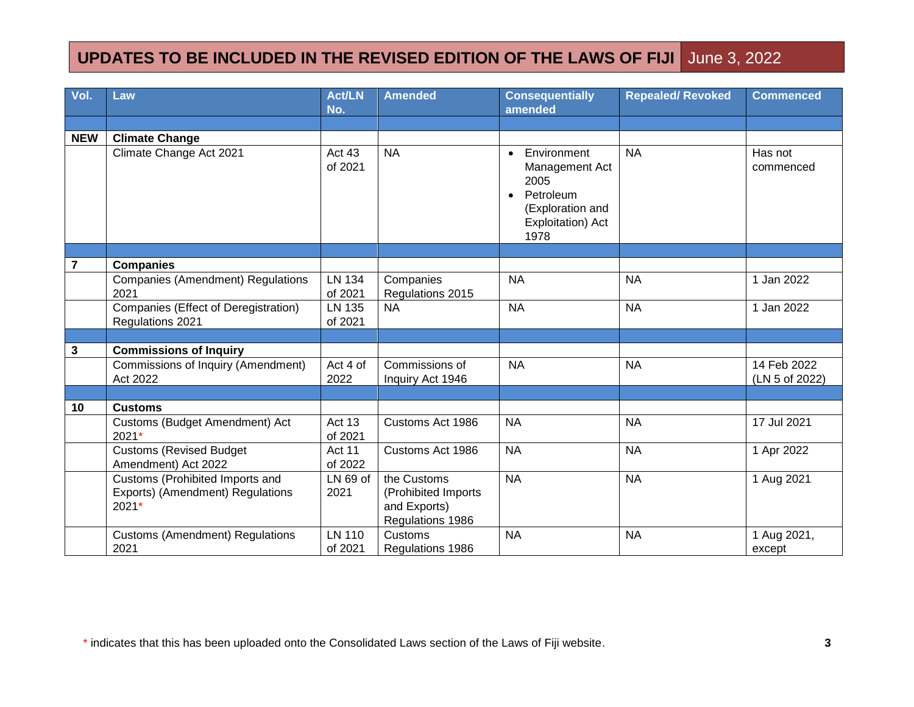| Vol.           | Law                                                                            | <b>Act/LN</b><br>No.     | <b>Amended</b>                                                          | <b>Consequentially</b><br>amended                                                                                             | <b>Repealed/ Revoked</b> | <b>Commenced</b>              |
|----------------|--------------------------------------------------------------------------------|--------------------------|-------------------------------------------------------------------------|-------------------------------------------------------------------------------------------------------------------------------|--------------------------|-------------------------------|
|                |                                                                                |                          |                                                                         |                                                                                                                               |                          |                               |
| <b>NEW</b>     | <b>Climate Change</b>                                                          |                          |                                                                         |                                                                                                                               |                          |                               |
|                | Climate Change Act 2021                                                        | Act 43<br>of 2021        | <b>NA</b>                                                               | Environment<br>$\bullet$<br>Management Act<br>2005<br>Petroleum<br>$\bullet$<br>(Exploration and<br>Exploitation) Act<br>1978 | <b>NA</b>                | Has not<br>commenced          |
|                |                                                                                |                          |                                                                         |                                                                                                                               |                          |                               |
| $\overline{7}$ | <b>Companies</b><br><b>Companies (Amendment) Regulations</b><br>2021           | <b>LN 134</b><br>of 2021 | Companies<br>Regulations 2015                                           | <b>NA</b>                                                                                                                     | <b>NA</b>                | 1 Jan 2022                    |
|                | Companies (Effect of Deregistration)<br>Regulations 2021                       | LN 135<br>of 2021        | <b>NA</b>                                                               | <b>NA</b>                                                                                                                     | <b>NA</b>                | 1 Jan 2022                    |
|                |                                                                                |                          |                                                                         |                                                                                                                               |                          |                               |
| $\mathbf 3$    | <b>Commissions of Inquiry</b>                                                  |                          |                                                                         |                                                                                                                               |                          |                               |
|                | Commissions of Inquiry (Amendment)<br>Act 2022                                 | Act 4 of<br>2022         | Commissions of<br>Inquiry Act 1946                                      | <b>NA</b>                                                                                                                     | <b>NA</b>                | 14 Feb 2022<br>(LN 5 of 2022) |
|                |                                                                                |                          |                                                                         |                                                                                                                               |                          |                               |
| 10             | <b>Customs</b>                                                                 |                          |                                                                         |                                                                                                                               |                          |                               |
|                | Customs (Budget Amendment) Act<br>2021*                                        | Act 13<br>of 2021        | Customs Act 1986                                                        | <b>NA</b>                                                                                                                     | <b>NA</b>                | 17 Jul 2021                   |
|                | <b>Customs (Revised Budget)</b><br>Amendment) Act 2022                         | Act 11<br>of 2022        | Customs Act 1986                                                        | <b>NA</b>                                                                                                                     | <b>NA</b>                | 1 Apr 2022                    |
|                | Customs (Prohibited Imports and<br>Exports) (Amendment) Regulations<br>$2021*$ | LN 69 of<br>2021         | the Customs<br>(Prohibited Imports)<br>and Exports)<br>Regulations 1986 | <b>NA</b>                                                                                                                     | <b>NA</b>                | 1 Aug 2021                    |
|                | <b>Customs (Amendment) Regulations</b><br>2021                                 | <b>LN 110</b><br>of 2021 | Customs<br>Regulations 1986                                             | <b>NA</b>                                                                                                                     | <b>NA</b>                | 1 Aug 2021,<br>except         |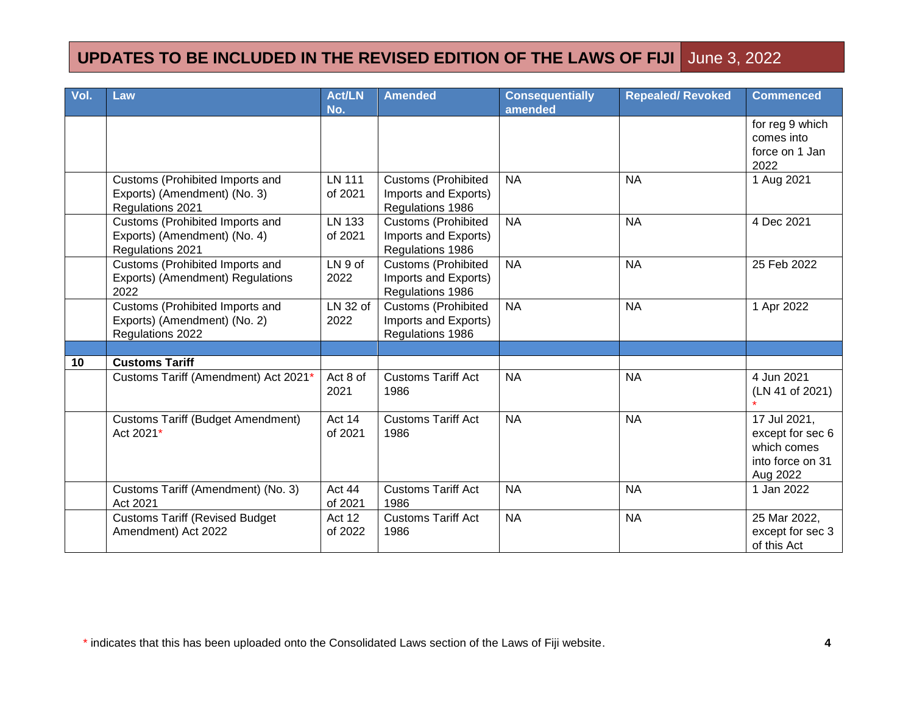| Vol. | Law                                                                                 | <b>Act/LN</b>            | <b>Amended</b>                                                         | <b>Consequentially</b> | <b>Repealed/ Revoked</b> | <b>Commenced</b>                                                                |
|------|-------------------------------------------------------------------------------------|--------------------------|------------------------------------------------------------------------|------------------------|--------------------------|---------------------------------------------------------------------------------|
|      |                                                                                     | No.                      |                                                                        | amended                |                          |                                                                                 |
|      |                                                                                     |                          |                                                                        |                        |                          | for reg 9 which<br>comes into<br>force on 1 Jan<br>2022                         |
|      | Customs (Prohibited Imports and<br>Exports) (Amendment) (No. 3)<br>Regulations 2021 | <b>LN 111</b><br>of 2021 | <b>Customs (Prohibited</b><br>Imports and Exports)<br>Regulations 1986 | <b>NA</b>              | <b>NA</b>                | 1 Aug 2021                                                                      |
|      | Customs (Prohibited Imports and<br>Exports) (Amendment) (No. 4)<br>Regulations 2021 | LN 133<br>of 2021        | <b>Customs (Prohibited</b><br>Imports and Exports)<br>Regulations 1986 | <b>NA</b>              | <b>NA</b>                | 4 Dec 2021                                                                      |
|      | Customs (Prohibited Imports and<br>Exports) (Amendment) Regulations<br>2022         | LN 9 of<br>2022          | <b>Customs (Prohibited</b><br>Imports and Exports)<br>Regulations 1986 | <b>NA</b>              | <b>NA</b>                | 25 Feb 2022                                                                     |
|      | Customs (Prohibited Imports and<br>Exports) (Amendment) (No. 2)<br>Regulations 2022 | LN 32 of<br>2022         | <b>Customs (Prohibited</b><br>Imports and Exports)<br>Regulations 1986 | <b>NA</b>              | <b>NA</b>                | 1 Apr 2022                                                                      |
|      |                                                                                     |                          |                                                                        |                        |                          |                                                                                 |
| 10   | <b>Customs Tariff</b>                                                               |                          |                                                                        |                        |                          |                                                                                 |
|      | Customs Tariff (Amendment) Act 2021*                                                | Act 8 of<br>2021         | <b>Customs Tariff Act</b><br>1986                                      | <b>NA</b>              | <b>NA</b>                | 4 Jun 2021<br>(LN 41 of 2021)                                                   |
|      | <b>Customs Tariff (Budget Amendment)</b><br>Act 2021*                               | Act 14<br>of 2021        | <b>Customs Tariff Act</b><br>1986                                      | <b>NA</b>              | <b>NA</b>                | 17 Jul 2021,<br>except for sec 6<br>which comes<br>into force on 31<br>Aug 2022 |
|      | Customs Tariff (Amendment) (No. 3)<br>Act 2021                                      | Act 44<br>of 2021        | <b>Customs Tariff Act</b><br>1986                                      | <b>NA</b>              | <b>NA</b>                | 1 Jan 2022                                                                      |
|      | <b>Customs Tariff (Revised Budget</b><br>Amendment) Act 2022                        | Act 12<br>of 2022        | <b>Customs Tariff Act</b><br>1986                                      | <b>NA</b>              | <b>NA</b>                | 25 Mar 2022,<br>except for sec 3<br>of this Act                                 |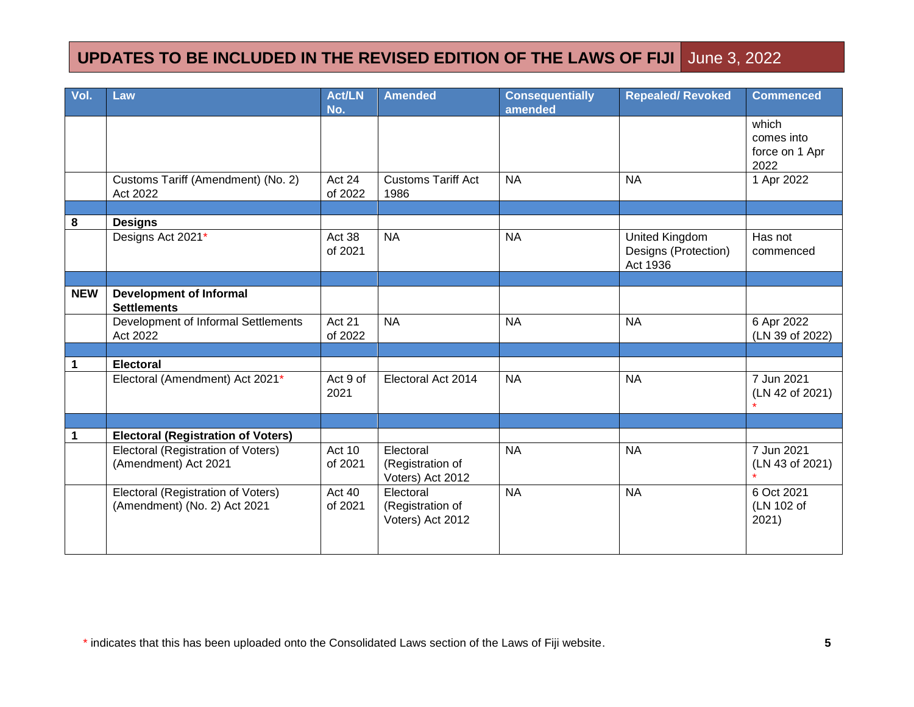| Vol.        | Law                                       | <b>Act/LN</b><br>No. | <b>Amended</b>                | <b>Consequentially</b><br>amended | <b>Repealed/ Revoked</b> | <b>Commenced</b> |
|-------------|-------------------------------------------|----------------------|-------------------------------|-----------------------------------|--------------------------|------------------|
|             |                                           |                      |                               |                                   |                          | which            |
|             |                                           |                      |                               |                                   |                          | comes into       |
|             |                                           |                      |                               |                                   |                          | force on 1 Apr   |
|             |                                           |                      |                               |                                   |                          | 2022             |
|             | Customs Tariff (Amendment) (No. 2)        | Act 24               | <b>Customs Tariff Act</b>     | <b>NA</b>                         | <b>NA</b>                | 1 Apr 2022       |
|             | Act 2022                                  | of 2022              | 1986                          |                                   |                          |                  |
|             |                                           |                      |                               |                                   |                          |                  |
| 8           | <b>Designs</b>                            |                      |                               |                                   |                          |                  |
|             | Designs Act 2021*                         | Act 38               | <b>NA</b>                     | <b>NA</b>                         | United Kingdom           | Has not          |
|             |                                           | of 2021              |                               |                                   | Designs (Protection)     | commenced        |
|             |                                           |                      |                               |                                   | Act 1936                 |                  |
|             |                                           |                      |                               |                                   |                          |                  |
| <b>NEW</b>  | <b>Development of Informal</b>            |                      |                               |                                   |                          |                  |
|             | <b>Settlements</b>                        |                      |                               |                                   |                          |                  |
|             | Development of Informal Settlements       | Act 21               | <b>NA</b>                     | <b>NA</b>                         | <b>NA</b>                | 6 Apr 2022       |
|             | Act 2022                                  | of 2022              |                               |                                   |                          | (LN 39 of 2022)  |
|             |                                           |                      |                               |                                   |                          |                  |
| 1           | <b>Electoral</b>                          |                      |                               |                                   |                          |                  |
|             | Electoral (Amendment) Act 2021*           | Act 9 of             | Electoral Act 2014            | <b>NA</b>                         | <b>NA</b>                | 7 Jun 2021       |
|             |                                           | 2021                 |                               |                                   |                          | (LN 42 of 2021)  |
|             |                                           |                      |                               |                                   |                          |                  |
|             |                                           |                      |                               |                                   |                          |                  |
| $\mathbf 1$ | <b>Electoral (Registration of Voters)</b> |                      |                               |                                   |                          |                  |
|             | Electoral (Registration of Voters)        | Act 10               | Electoral                     | <b>NA</b>                         | <b>NA</b>                | 7 Jun 2021       |
|             | (Amendment) Act 2021                      | of 2021              | (Registration of              |                                   |                          | (LN 43 of 2021)  |
|             | Electoral (Registration of Voters)        | Act 40               | Voters) Act 2012<br>Electoral | <b>NA</b>                         | <b>NA</b>                | 6 Oct 2021       |
|             | (Amendment) (No. 2) Act 2021              | of 2021              | (Registration of              |                                   |                          | (LN 102 of       |
|             |                                           |                      | Voters) Act 2012              |                                   |                          | 2021)            |
|             |                                           |                      |                               |                                   |                          |                  |
|             |                                           |                      |                               |                                   |                          |                  |
|             |                                           |                      |                               |                                   |                          |                  |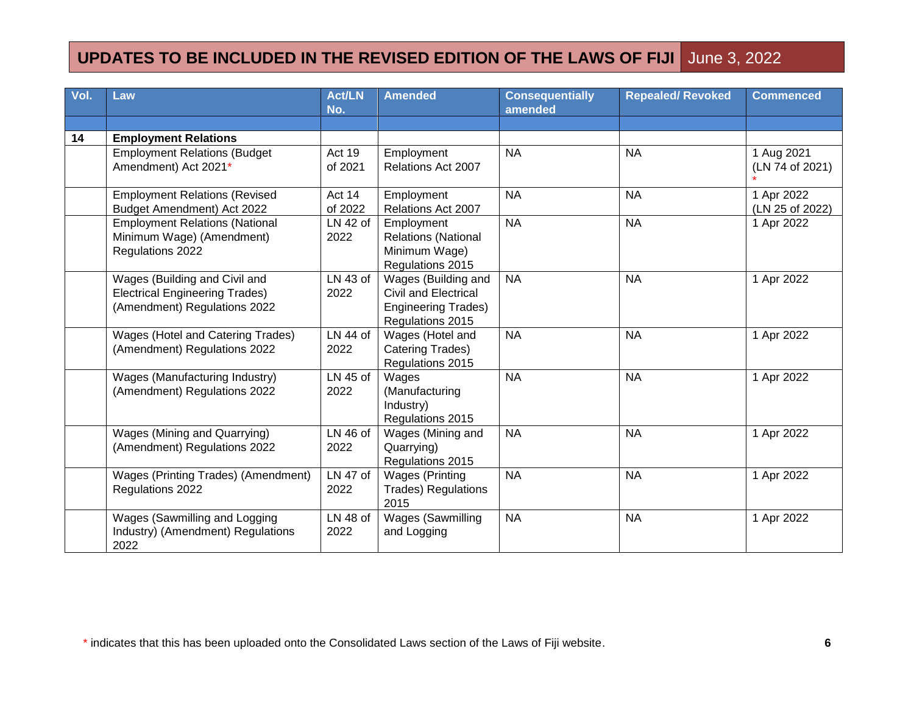| Vol. | Law                                                                                                    | <b>Act/LN</b><br>No. | <b>Amended</b>                                                                                | <b>Consequentially</b><br>amended | <b>Repealed/ Revoked</b> | <b>Commenced</b>              |
|------|--------------------------------------------------------------------------------------------------------|----------------------|-----------------------------------------------------------------------------------------------|-----------------------------------|--------------------------|-------------------------------|
|      |                                                                                                        |                      |                                                                                               |                                   |                          |                               |
| 14   | <b>Employment Relations</b>                                                                            |                      |                                                                                               |                                   |                          |                               |
|      | <b>Employment Relations (Budget</b><br>Amendment) Act 2021*                                            | Act 19<br>of 2021    | Employment<br>Relations Act 2007                                                              | <b>NA</b>                         | <b>NA</b>                | 1 Aug 2021<br>(LN 74 of 2021) |
|      | <b>Employment Relations (Revised</b><br>Budget Amendment) Act 2022                                     | Act 14<br>of 2022    | Employment<br>Relations Act 2007                                                              | <b>NA</b>                         | <b>NA</b>                | 1 Apr 2022<br>(LN 25 of 2022) |
|      | <b>Employment Relations (National</b><br>Minimum Wage) (Amendment)<br>Regulations 2022                 | LN 42 of<br>2022     | Employment<br><b>Relations (National</b><br>Minimum Wage)<br>Regulations 2015                 | <b>NA</b>                         | <b>NA</b>                | 1 Apr 2022                    |
|      | Wages (Building and Civil and<br><b>Electrical Engineering Trades)</b><br>(Amendment) Regulations 2022 | LN 43 of<br>2022     | Wages (Building and<br>Civil and Electrical<br><b>Engineering Trades)</b><br>Regulations 2015 | <b>NA</b>                         | <b>NA</b>                | 1 Apr 2022                    |
|      | Wages (Hotel and Catering Trades)<br>(Amendment) Regulations 2022                                      | LN 44 of<br>2022     | Wages (Hotel and<br>Catering Trades)<br>Regulations 2015                                      | <b>NA</b>                         | <b>NA</b>                | 1 Apr 2022                    |
|      | Wages (Manufacturing Industry)<br>(Amendment) Regulations 2022                                         | LN 45 of<br>2022     | Wages<br>(Manufacturing<br>Industry)<br>Regulations 2015                                      | <b>NA</b>                         | <b>NA</b>                | 1 Apr 2022                    |
|      | Wages (Mining and Quarrying)<br>(Amendment) Regulations 2022                                           | LN 46 of<br>2022     | Wages (Mining and<br>Quarrying)<br>Regulations 2015                                           | <b>NA</b>                         | <b>NA</b>                | 1 Apr 2022                    |
|      | Wages (Printing Trades) (Amendment)<br>Regulations 2022                                                | LN 47 of<br>2022     | <b>Wages (Printing</b><br><b>Trades) Regulations</b><br>2015                                  | <b>NA</b>                         | <b>NA</b>                | 1 Apr 2022                    |
|      | Wages (Sawmilling and Logging<br>Industry) (Amendment) Regulations<br>2022                             | LN 48 of<br>2022     | Wages (Sawmilling<br>and Logging                                                              | <b>NA</b>                         | <b>NA</b>                | 1 Apr 2022                    |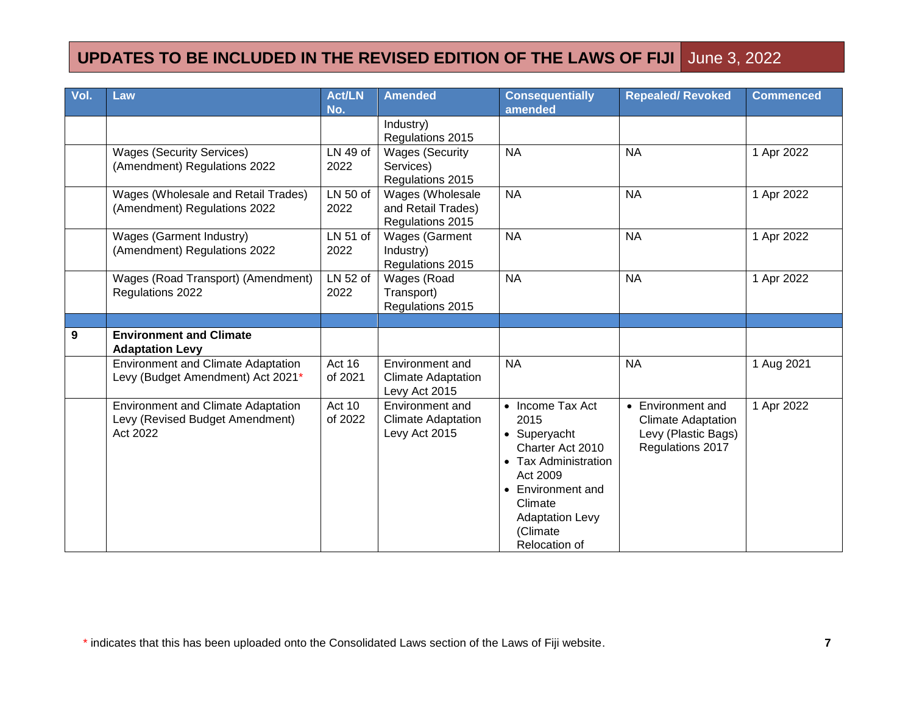| Vol. | Law                                                                                      | <b>Act/LN</b>     | <b>Amended</b>                                                | <b>Consequentially</b>                                                                                                                                                                         | <b>Repealed/ Revoked</b>                                                                  | <b>Commenced</b> |
|------|------------------------------------------------------------------------------------------|-------------------|---------------------------------------------------------------|------------------------------------------------------------------------------------------------------------------------------------------------------------------------------------------------|-------------------------------------------------------------------------------------------|------------------|
|      |                                                                                          | No.               |                                                               | amended                                                                                                                                                                                        |                                                                                           |                  |
|      |                                                                                          |                   | Industry)<br>Regulations 2015                                 |                                                                                                                                                                                                |                                                                                           |                  |
|      | <b>Wages (Security Services)</b><br>(Amendment) Regulations 2022                         | LN 49 of<br>2022  | <b>Wages (Security</b><br>Services)<br>Regulations 2015       | <b>NA</b>                                                                                                                                                                                      | <b>NA</b>                                                                                 | 1 Apr 2022       |
|      | Wages (Wholesale and Retail Trades)<br>(Amendment) Regulations 2022                      | LN 50 of<br>2022  | Wages (Wholesale<br>and Retail Trades)<br>Regulations 2015    | <b>NA</b>                                                                                                                                                                                      | <b>NA</b>                                                                                 | 1 Apr 2022       |
|      | Wages (Garment Industry)<br>(Amendment) Regulations 2022                                 | LN 51 of<br>2022  | <b>Wages (Garment</b><br>Industry)<br>Regulations 2015        | <b>NA</b>                                                                                                                                                                                      | <b>NA</b>                                                                                 | 1 Apr 2022       |
|      | Wages (Road Transport) (Amendment)<br>Regulations 2022                                   | LN 52 of<br>2022  | Wages (Road<br>Transport)<br>Regulations 2015                 | <b>NA</b>                                                                                                                                                                                      | <b>NA</b>                                                                                 | 1 Apr 2022       |
|      |                                                                                          |                   |                                                               |                                                                                                                                                                                                |                                                                                           |                  |
| 9    | <b>Environment and Climate</b><br><b>Adaptation Levy</b>                                 |                   |                                                               |                                                                                                                                                                                                |                                                                                           |                  |
|      | <b>Environment and Climate Adaptation</b><br>Levy (Budget Amendment) Act 2021*           | Act 16<br>of 2021 | Environment and<br><b>Climate Adaptation</b><br>Levy Act 2015 | <b>NA</b>                                                                                                                                                                                      | <b>NA</b>                                                                                 | 1 Aug 2021       |
|      | <b>Environment and Climate Adaptation</b><br>Levy (Revised Budget Amendment)<br>Act 2022 | Act 10<br>of 2022 | Environment and<br><b>Climate Adaptation</b><br>Levy Act 2015 | • Income Tax Act<br>2015<br>• Superyacht<br>Charter Act 2010<br>• Tax Administration<br>Act 2009<br>• Environment and<br>Climate<br><b>Adaptation Levy</b><br>(Climate<br><b>Relocation of</b> | • Environment and<br><b>Climate Adaptation</b><br>Levy (Plastic Bags)<br>Regulations 2017 | 1 Apr 2022       |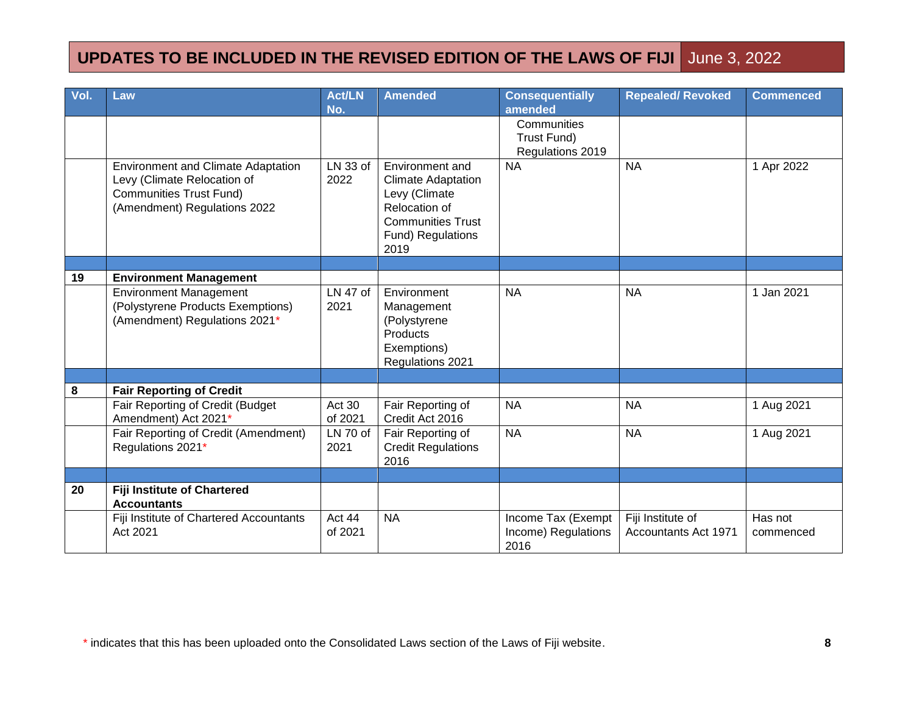| Vol. | Law                                                                                                                                        | <b>Act/LN</b><br>No. | <b>Amended</b>                                                                                                                          | <b>Consequentially</b><br>amended                 | <b>Repealed/ Revoked</b>                         | <b>Commenced</b>     |
|------|--------------------------------------------------------------------------------------------------------------------------------------------|----------------------|-----------------------------------------------------------------------------------------------------------------------------------------|---------------------------------------------------|--------------------------------------------------|----------------------|
|      |                                                                                                                                            |                      |                                                                                                                                         | Communities<br>Trust Fund)<br>Regulations 2019    |                                                  |                      |
|      | <b>Environment and Climate Adaptation</b><br>Levy (Climate Relocation of<br><b>Communities Trust Fund)</b><br>(Amendment) Regulations 2022 | LN 33 of<br>2022     | Environment and<br><b>Climate Adaptation</b><br>Levy (Climate<br>Relocation of<br><b>Communities Trust</b><br>Fund) Regulations<br>2019 | <b>NA</b>                                         | <b>NA</b>                                        | 1 Apr 2022           |
|      |                                                                                                                                            |                      |                                                                                                                                         |                                                   |                                                  |                      |
| 19   | <b>Environment Management</b>                                                                                                              |                      |                                                                                                                                         |                                                   |                                                  |                      |
|      | <b>Environment Management</b><br>(Polystyrene Products Exemptions)<br>(Amendment) Regulations 2021*                                        | LN 47 of<br>2021     | Environment<br>Management<br>(Polystyrene<br>Products<br>Exemptions)<br>Regulations 2021                                                | <b>NA</b>                                         | <b>NA</b>                                        | 1 Jan 2021           |
|      |                                                                                                                                            |                      |                                                                                                                                         |                                                   |                                                  |                      |
| 8    | <b>Fair Reporting of Credit</b><br>Fair Reporting of Credit (Budget<br>Amendment) Act 2021*                                                | Act 30<br>of 2021    | Fair Reporting of<br>Credit Act 2016                                                                                                    | <b>NA</b>                                         | <b>NA</b>                                        | 1 Aug 2021           |
|      | Fair Reporting of Credit (Amendment)<br>Regulations 2021*                                                                                  | LN 70 of<br>2021     | Fair Reporting of<br><b>Credit Regulations</b><br>2016                                                                                  | <b>NA</b>                                         | <b>NA</b>                                        | 1 Aug 2021           |
|      |                                                                                                                                            |                      |                                                                                                                                         |                                                   |                                                  |                      |
| 20   | <b>Fiji Institute of Chartered</b><br><b>Accountants</b>                                                                                   |                      |                                                                                                                                         |                                                   |                                                  |                      |
|      | Fiji Institute of Chartered Accountants<br>Act 2021                                                                                        | Act 44<br>of 2021    | <b>NA</b>                                                                                                                               | Income Tax (Exempt<br>Income) Regulations<br>2016 | Fiji Institute of<br><b>Accountants Act 1971</b> | Has not<br>commenced |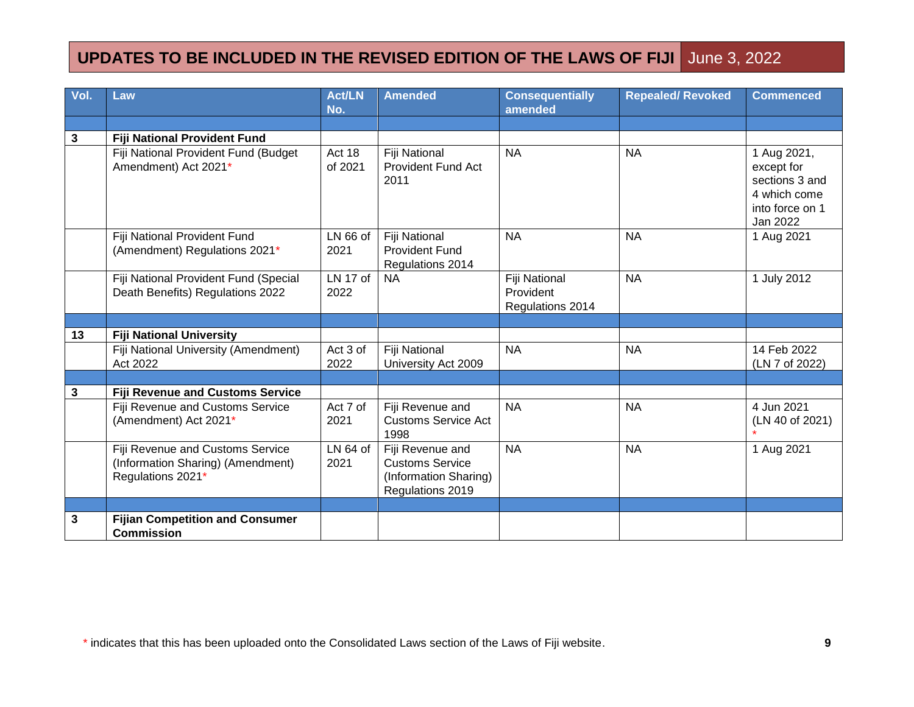| Vol.        | Law                                                                                        | <b>Act/LN</b><br>No. | Amended                                                                                 | <b>Consequentially</b><br>amended              | <b>Repealed/ Revoked</b> | <b>Commenced</b>                                                                           |
|-------------|--------------------------------------------------------------------------------------------|----------------------|-----------------------------------------------------------------------------------------|------------------------------------------------|--------------------------|--------------------------------------------------------------------------------------------|
|             |                                                                                            |                      |                                                                                         |                                                |                          |                                                                                            |
| $\mathbf 3$ | Fiji National Provident Fund                                                               |                      |                                                                                         |                                                |                          |                                                                                            |
|             | Fiji National Provident Fund (Budget<br>Amendment) Act 2021*                               | Act 18<br>of 2021    | Fiji National<br><b>Provident Fund Act</b><br>2011                                      | <b>NA</b>                                      | <b>NA</b>                | 1 Aug 2021,<br>except for<br>sections 3 and<br>4 which come<br>into force on 1<br>Jan 2022 |
|             | Fiji National Provident Fund<br>(Amendment) Regulations 2021*                              | LN 66 of<br>2021     | Fiji National<br><b>Provident Fund</b><br>Regulations 2014                              | <b>NA</b>                                      | <b>NA</b>                | 1 Aug 2021                                                                                 |
|             | Fiji National Provident Fund (Special<br>Death Benefits) Regulations 2022                  | LN 17 of<br>2022     | <b>NA</b>                                                                               | Fiji National<br>Provident<br>Regulations 2014 | <b>NA</b>                | 1 July 2012                                                                                |
|             |                                                                                            |                      |                                                                                         |                                                |                          |                                                                                            |
| 13          | <b>Fiji National University</b>                                                            |                      |                                                                                         |                                                |                          |                                                                                            |
|             | Fiji National University (Amendment)<br>Act 2022                                           | Act 3 of<br>2022     | Fiji National<br>University Act 2009                                                    | <b>NA</b>                                      | <b>NA</b>                | 14 Feb 2022<br>(LN 7 of 2022)                                                              |
|             |                                                                                            |                      |                                                                                         |                                                |                          |                                                                                            |
| 3           | <b>Fiji Revenue and Customs Service</b>                                                    |                      |                                                                                         |                                                |                          |                                                                                            |
|             | Fiji Revenue and Customs Service<br>(Amendment) Act 2021*                                  | Act 7 of<br>2021     | Fiji Revenue and<br><b>Customs Service Act</b><br>1998                                  | <b>NA</b>                                      | <b>NA</b>                | 4 Jun 2021<br>(LN 40 of 2021)                                                              |
|             | Fiji Revenue and Customs Service<br>(Information Sharing) (Amendment)<br>Regulations 2021* | $LN64$ of<br>2021    | Fiji Revenue and<br><b>Customs Service</b><br>(Information Sharing)<br>Regulations 2019 | <b>NA</b>                                      | <b>NA</b>                | 1 Aug 2021                                                                                 |
|             |                                                                                            |                      |                                                                                         |                                                |                          |                                                                                            |
| 3           | <b>Fijian Competition and Consumer</b><br><b>Commission</b>                                |                      |                                                                                         |                                                |                          |                                                                                            |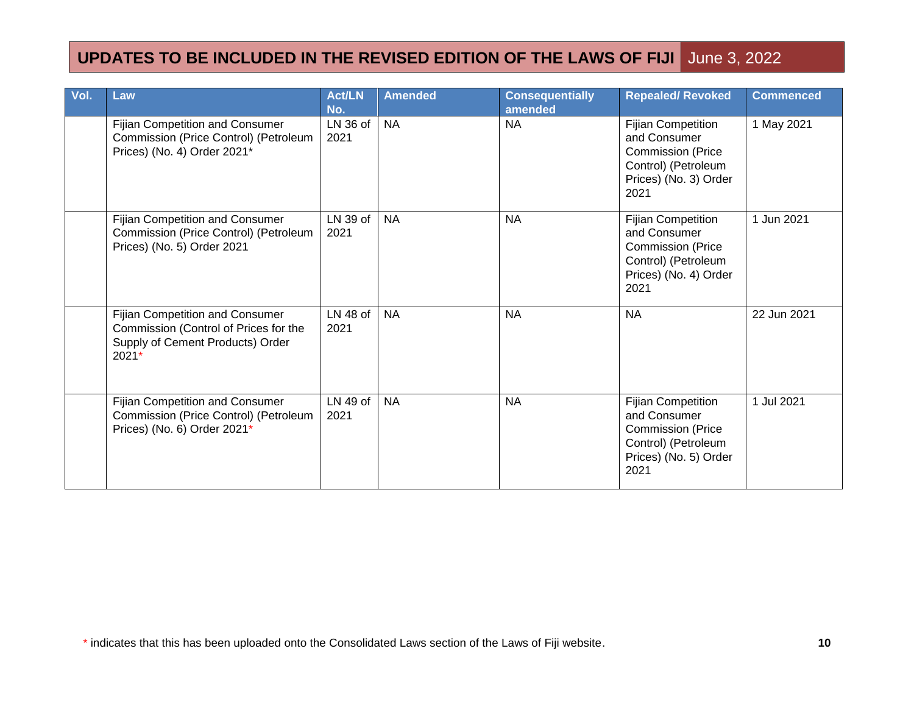| Vol. | Law                                                                                                                     | Act/LN<br>No.      | <b>Amended</b> | <b>Consequentially</b><br>amended | <b>Repealed/ Revoked</b>                                                                                                      | <b>Commenced</b> |
|------|-------------------------------------------------------------------------------------------------------------------------|--------------------|----------------|-----------------------------------|-------------------------------------------------------------------------------------------------------------------------------|------------------|
|      | Fijian Competition and Consumer<br>Commission (Price Control) (Petroleum<br>Prices) (No. 4) Order 2021*                 | LN 36 of<br>2021   | <b>NA</b>      | <b>NA</b>                         | <b>Fijian Competition</b><br>and Consumer<br><b>Commission (Price</b><br>Control) (Petroleum<br>Prices) (No. 3) Order<br>2021 | 1 May 2021       |
|      | Fijian Competition and Consumer<br>Commission (Price Control) (Petroleum<br>Prices) (No. 5) Order 2021                  | LN 39 of<br>2021   | <b>NA</b>      | <b>NA</b>                         | <b>Fijian Competition</b><br>and Consumer<br><b>Commission (Price</b><br>Control) (Petroleum<br>Prices) (No. 4) Order<br>2021 | 1 Jun 2021       |
|      | Fijian Competition and Consumer<br>Commission (Control of Prices for the<br>Supply of Cement Products) Order<br>$2021*$ | $LN$ 48 of<br>2021 | <b>NA</b>      | <b>NA</b>                         | <b>NA</b>                                                                                                                     | 22 Jun 2021      |
|      | Fijian Competition and Consumer<br>Commission (Price Control) (Petroleum<br>Prices) (No. 6) Order 2021*                 | LN 49 of<br>2021   | <b>NA</b>      | <b>NA</b>                         | <b>Fijian Competition</b><br>and Consumer<br><b>Commission (Price</b><br>Control) (Petroleum<br>Prices) (No. 5) Order<br>2021 | 1 Jul 2021       |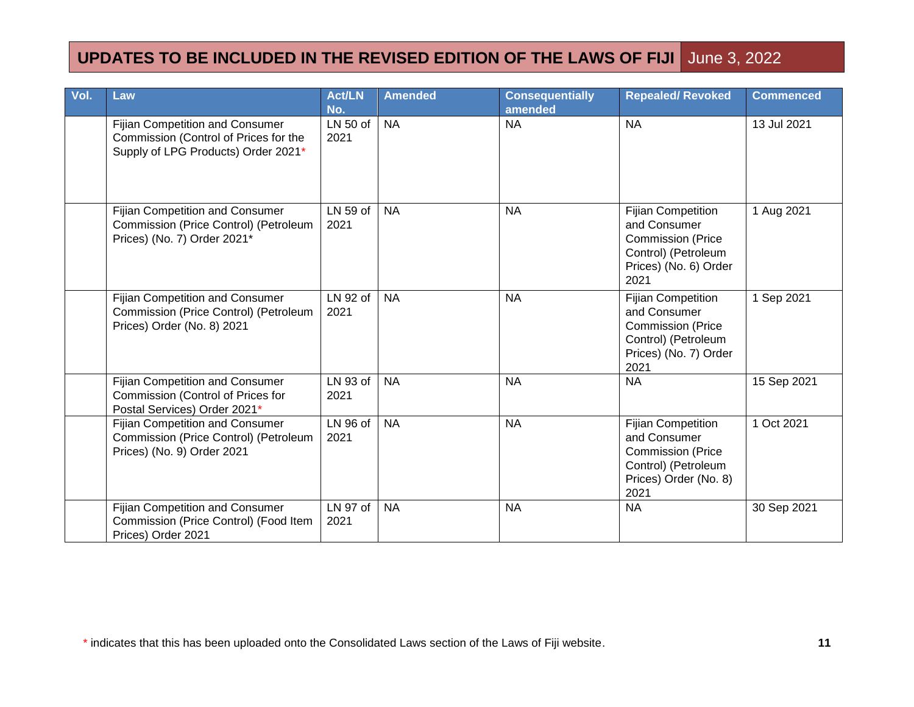| Vol. | Law                                                                                                                    | <b>Act/LN</b><br>No. | <b>Amended</b> | <b>Consequentially</b><br>amended | <b>Repealed/ Revoked</b>                                                                                                      | <b>Commenced</b> |
|------|------------------------------------------------------------------------------------------------------------------------|----------------------|----------------|-----------------------------------|-------------------------------------------------------------------------------------------------------------------------------|------------------|
|      | <b>Fijian Competition and Consumer</b><br>Commission (Control of Prices for the<br>Supply of LPG Products) Order 2021* | LN 50 of<br>2021     | <b>NA</b>      | <b>NA</b>                         | <b>NA</b>                                                                                                                     | 13 Jul 2021      |
|      | <b>Fijian Competition and Consumer</b><br>Commission (Price Control) (Petroleum<br>Prices) (No. 7) Order 2021*         | LN 59 of<br>2021     | <b>NA</b>      | <b>NA</b>                         | <b>Fijian Competition</b><br>and Consumer<br><b>Commission (Price</b><br>Control) (Petroleum<br>Prices) (No. 6) Order<br>2021 | 1 Aug 2021       |
|      | <b>Fijian Competition and Consumer</b><br>Commission (Price Control) (Petroleum<br>Prices) Order (No. 8) 2021          | LN 92 of<br>2021     | <b>NA</b>      | <b>NA</b>                         | <b>Fijian Competition</b><br>and Consumer<br><b>Commission (Price</b><br>Control) (Petroleum<br>Prices) (No. 7) Order<br>2021 | 1 Sep 2021       |
|      | <b>Fijian Competition and Consumer</b><br>Commission (Control of Prices for<br>Postal Services) Order 2021*            | LN 93 of<br>2021     | <b>NA</b>      | <b>NA</b>                         | <b>NA</b>                                                                                                                     | 15 Sep 2021      |
|      | <b>Fijian Competition and Consumer</b><br>Commission (Price Control) (Petroleum<br>Prices) (No. 9) Order 2021          | LN 96 of<br>2021     | <b>NA</b>      | <b>NA</b>                         | Fijian Competition<br>and Consumer<br><b>Commission (Price</b><br>Control) (Petroleum<br>Prices) Order (No. 8)<br>2021        | 1 Oct 2021       |
|      | <b>Fijian Competition and Consumer</b><br>Commission (Price Control) (Food Item<br>Prices) Order 2021                  | LN 97 of<br>2021     | <b>NA</b>      | <b>NA</b>                         | <b>NA</b>                                                                                                                     | 30 Sep 2021      |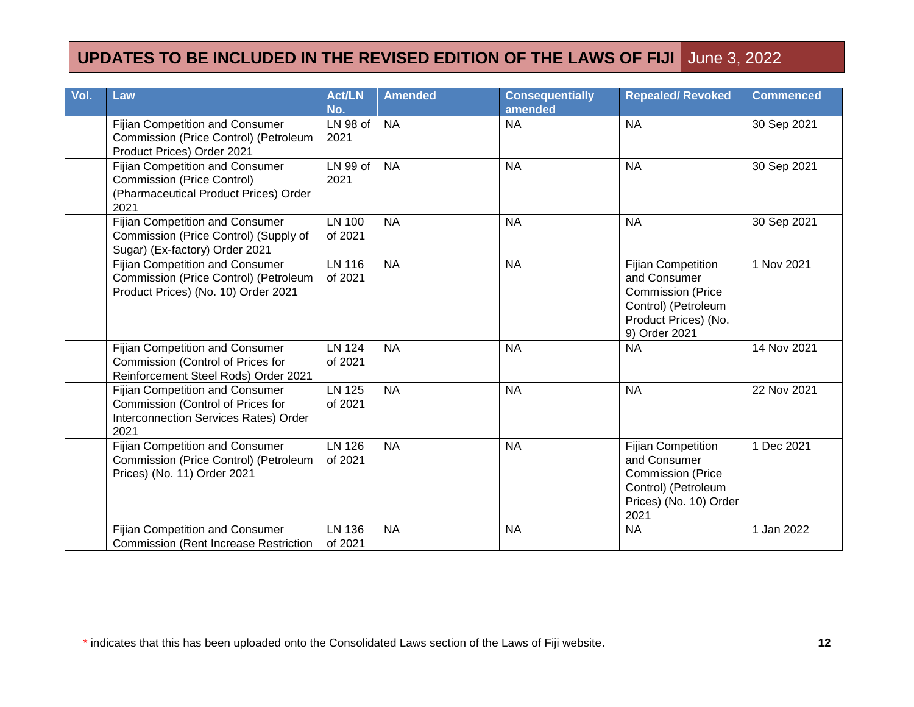| Vol. | Law                                                                                                                          | <b>Act/LN</b><br>No.     | <b>Amended</b> | <b>Consequentially</b><br>amended | <b>Repealed/ Revoked</b>                                                                                                              | <b>Commenced</b> |
|------|------------------------------------------------------------------------------------------------------------------------------|--------------------------|----------------|-----------------------------------|---------------------------------------------------------------------------------------------------------------------------------------|------------------|
|      | Fijian Competition and Consumer<br>Commission (Price Control) (Petroleum<br>Product Prices) Order 2021                       | LN 98 of<br>2021         | <b>NA</b>      | <b>NA</b>                         | <b>NA</b>                                                                                                                             | 30 Sep 2021      |
|      | <b>Fijian Competition and Consumer</b><br><b>Commission (Price Control)</b><br>(Pharmaceutical Product Prices) Order<br>2021 | LN 99 of<br>2021         | <b>NA</b>      | <b>NA</b>                         | <b>NA</b>                                                                                                                             | 30 Sep 2021      |
|      | Fijian Competition and Consumer<br>Commission (Price Control) (Supply of<br>Sugar) (Ex-factory) Order 2021                   | <b>LN 100</b><br>of 2021 | <b>NA</b>      | <b>NA</b>                         | <b>NA</b>                                                                                                                             | 30 Sep 2021      |
|      | Fijian Competition and Consumer<br>Commission (Price Control) (Petroleum<br>Product Prices) (No. 10) Order 2021              | <b>LN 116</b><br>of 2021 | <b>NA</b>      | <b>NA</b>                         | <b>Fijian Competition</b><br>and Consumer<br><b>Commission (Price</b><br>Control) (Petroleum<br>Product Prices) (No.<br>9) Order 2021 | 1 Nov 2021       |
|      | <b>Fijian Competition and Consumer</b><br>Commission (Control of Prices for<br>Reinforcement Steel Rods) Order 2021          | <b>LN 124</b><br>of 2021 | <b>NA</b>      | <b>NA</b>                         | <b>NA</b>                                                                                                                             | 14 Nov 2021      |
|      | <b>Fijian Competition and Consumer</b><br>Commission (Control of Prices for<br>Interconnection Services Rates) Order<br>2021 | <b>LN 125</b><br>of 2021 | <b>NA</b>      | <b>NA</b>                         | <b>NA</b>                                                                                                                             | 22 Nov 2021      |
|      | <b>Fijian Competition and Consumer</b><br>Commission (Price Control) (Petroleum<br>Prices) (No. 11) Order 2021               | <b>LN 126</b><br>of 2021 | <b>NA</b>      | <b>NA</b>                         | <b>Fijian Competition</b><br>and Consumer<br><b>Commission (Price</b><br>Control) (Petroleum<br>Prices) (No. 10) Order<br>2021        | 1 Dec 2021       |
|      | <b>Fijian Competition and Consumer</b><br><b>Commission (Rent Increase Restriction</b>                                       | <b>LN 136</b><br>of 2021 | <b>NA</b>      | <b>NA</b>                         | <b>NA</b>                                                                                                                             | 1 Jan 2022       |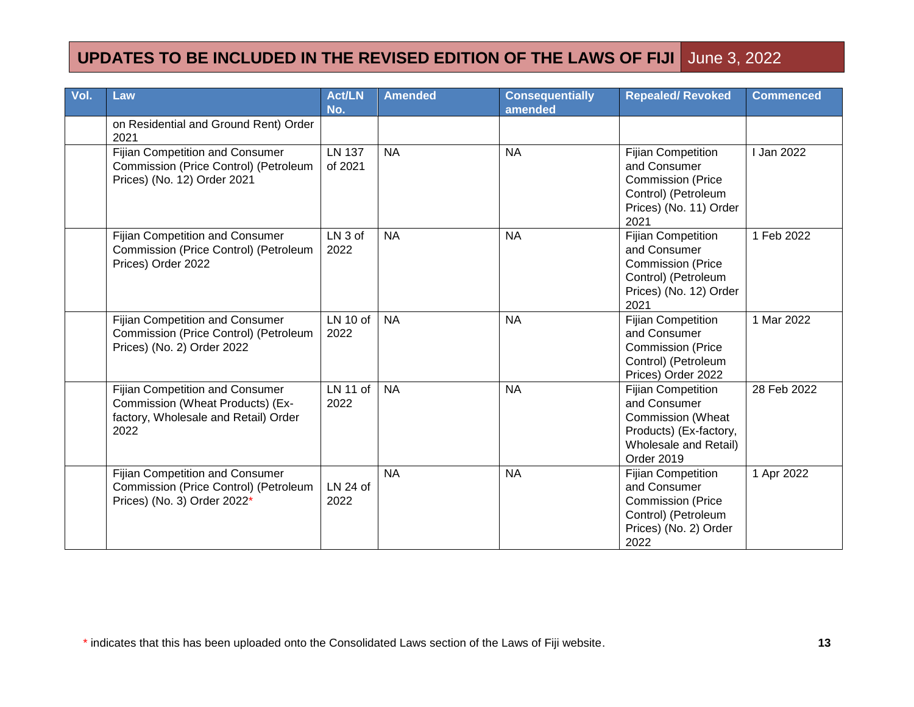| Vol. | Law                                                                                                                 | <b>Act/LN</b><br>No.       | <b>Amended</b> | <b>Consequentially</b><br>amended | <b>Repealed/ Revoked</b>                                                                                                               | <b>Commenced</b> |
|------|---------------------------------------------------------------------------------------------------------------------|----------------------------|----------------|-----------------------------------|----------------------------------------------------------------------------------------------------------------------------------------|------------------|
|      | on Residential and Ground Rent) Order<br>2021                                                                       |                            |                |                                   |                                                                                                                                        |                  |
|      | <b>Fijian Competition and Consumer</b><br>Commission (Price Control) (Petroleum<br>Prices) (No. 12) Order 2021      | <b>LN 137</b><br>of 2021   | <b>NA</b>      | <b>NA</b>                         | <b>Fijian Competition</b><br>and Consumer<br><b>Commission (Price</b><br>Control) (Petroleum<br>Prices) (No. 11) Order<br>2021         | <b>Jan 2022</b>  |
|      | <b>Fijian Competition and Consumer</b><br>Commission (Price Control) (Petroleum<br>Prices) Order 2022               | LN <sub>3</sub> of<br>2022 | <b>NA</b>      | <b>NA</b>                         | <b>Fijian Competition</b><br>and Consumer<br><b>Commission (Price</b><br>Control) (Petroleum<br>Prices) (No. 12) Order<br>2021         | 1 Feb 2022       |
|      | <b>Fijian Competition and Consumer</b><br>Commission (Price Control) (Petroleum<br>Prices) (No. 2) Order 2022       | $LN$ 10 of<br>2022         | <b>NA</b>      | <b>NA</b>                         | <b>Fijian Competition</b><br>and Consumer<br><b>Commission (Price</b><br>Control) (Petroleum<br>Prices) Order 2022                     | 1 Mar 2022       |
|      | Fijian Competition and Consumer<br>Commission (Wheat Products) (Ex-<br>factory, Wholesale and Retail) Order<br>2022 | $LN$ 11 of<br>2022         | <b>NA</b>      | <b>NA</b>                         | <b>Fijian Competition</b><br>and Consumer<br><b>Commission (Wheat</b><br>Products) (Ex-factory,<br>Wholesale and Retail)<br>Order 2019 | 28 Feb 2022      |
|      | <b>Fijian Competition and Consumer</b><br>Commission (Price Control) (Petroleum<br>Prices) (No. 3) Order 2022*      | LN 24 of<br>2022           | <b>NA</b>      | <b>NA</b>                         | <b>Fijian Competition</b><br>and Consumer<br><b>Commission (Price</b><br>Control) (Petroleum<br>Prices) (No. 2) Order<br>2022          | 1 Apr 2022       |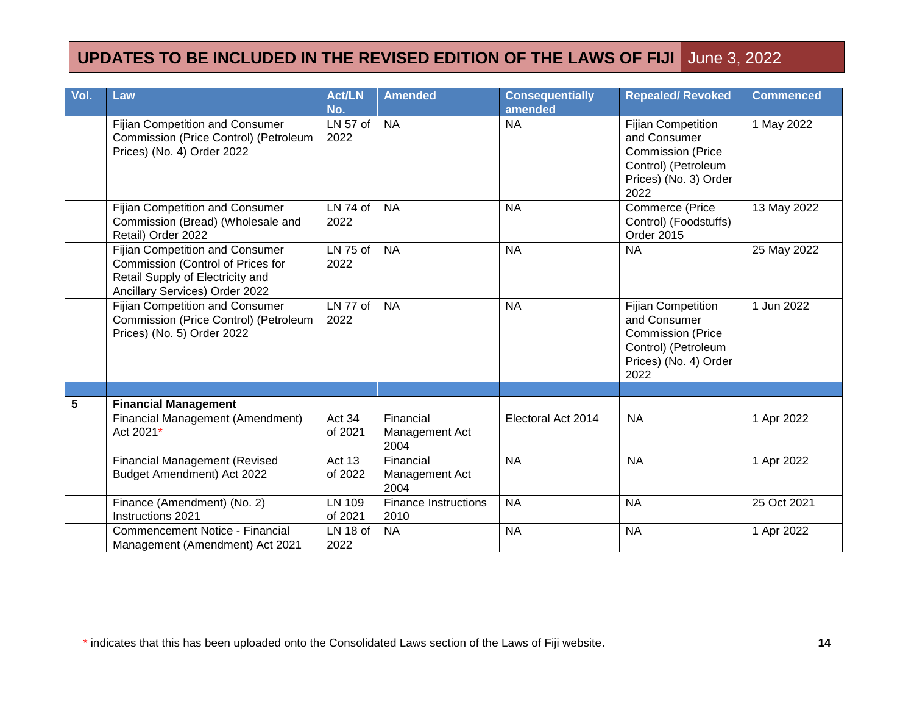| Vol. | Law                                                                                                                                        | <b>Act/LN</b><br>No. | Amended                             | <b>Consequentially</b><br>amended | <b>Repealed/ Revoked</b>                                                                                                      | <b>Commenced</b> |
|------|--------------------------------------------------------------------------------------------------------------------------------------------|----------------------|-------------------------------------|-----------------------------------|-------------------------------------------------------------------------------------------------------------------------------|------------------|
|      | <b>Fijian Competition and Consumer</b><br>Commission (Price Control) (Petroleum<br>Prices) (No. 4) Order 2022                              | $LN 57$ of<br>2022   | <b>NA</b>                           | <b>NA</b>                         | <b>Fijian Competition</b><br>and Consumer<br><b>Commission (Price</b><br>Control) (Petroleum<br>Prices) (No. 3) Order<br>2022 | 1 May 2022       |
|      | <b>Fijian Competition and Consumer</b><br>Commission (Bread) (Wholesale and<br>Retail) Order 2022                                          | LN 74 of<br>2022     | <b>NA</b>                           | <b>NA</b>                         | Commerce (Price<br>Control) (Foodstuffs)<br>Order 2015                                                                        | 13 May 2022      |
|      | Fijian Competition and Consumer<br>Commission (Control of Prices for<br>Retail Supply of Electricity and<br>Ancillary Services) Order 2022 | LN 75 of<br>2022     | <b>NA</b>                           | <b>NA</b>                         | <b>NA</b>                                                                                                                     | 25 May 2022      |
|      | <b>Fijian Competition and Consumer</b><br>Commission (Price Control) (Petroleum<br>Prices) (No. 5) Order 2022                              | LN 77 of<br>2022     | <b>NA</b>                           | <b>NA</b>                         | <b>Fijian Competition</b><br>and Consumer<br><b>Commission (Price</b><br>Control) (Petroleum<br>Prices) (No. 4) Order<br>2022 | 1 Jun 2022       |
|      |                                                                                                                                            |                      |                                     |                                   |                                                                                                                               |                  |
| 5    | <b>Financial Management</b>                                                                                                                |                      |                                     |                                   |                                                                                                                               |                  |
|      | Financial Management (Amendment)<br>Act 2021*                                                                                              | Act 34<br>of 2021    | Financial<br>Management Act<br>2004 | Electoral Act 2014                | <b>NA</b>                                                                                                                     | 1 Apr 2022       |
|      | <b>Financial Management (Revised</b><br>Budget Amendment) Act 2022                                                                         | Act 13<br>of 2022    | Financial<br>Management Act<br>2004 | <b>NA</b>                         | <b>NA</b>                                                                                                                     | 1 Apr 2022       |
|      | Finance (Amendment) (No. 2)<br>Instructions 2021                                                                                           | LN 109<br>of 2021    | <b>Finance Instructions</b><br>2010 | <b>NA</b>                         | <b>NA</b>                                                                                                                     | 25 Oct 2021      |
|      | Commencement Notice - Financial<br>Management (Amendment) Act 2021                                                                         | $LN$ 18 of<br>2022   | <b>NA</b>                           | <b>NA</b>                         | <b>NA</b>                                                                                                                     | 1 Apr 2022       |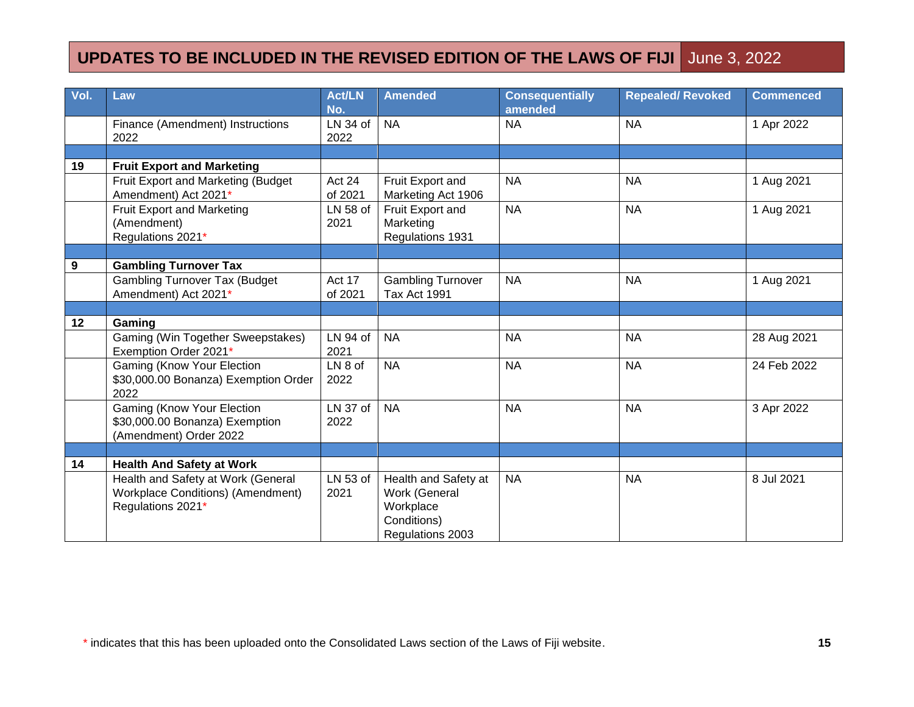| Vol. | Law                                                                                                 | <b>Act/LN</b><br>No. | Amended                                                                               | <b>Consequentially</b><br>amended | <b>Repealed/ Revoked</b> | <b>Commenced</b> |
|------|-----------------------------------------------------------------------------------------------------|----------------------|---------------------------------------------------------------------------------------|-----------------------------------|--------------------------|------------------|
|      | Finance (Amendment) Instructions<br>2022                                                            | LN 34 of<br>2022     | <b>NA</b>                                                                             | <b>NA</b>                         | <b>NA</b>                | 1 Apr 2022       |
|      |                                                                                                     |                      |                                                                                       |                                   |                          |                  |
| 19   | <b>Fruit Export and Marketing</b>                                                                   |                      |                                                                                       |                                   |                          |                  |
|      | Fruit Export and Marketing (Budget<br>Amendment) Act 2021*                                          | Act 24<br>of 2021    | Fruit Export and<br>Marketing Act 1906                                                | <b>NA</b>                         | <b>NA</b>                | 1 Aug 2021       |
|      | Fruit Export and Marketing<br>(Amendment)<br>Regulations 2021*                                      | LN 58 of<br>2021     | Fruit Export and<br>Marketing<br>Regulations 1931                                     | <b>NA</b>                         | <b>NA</b>                | 1 Aug 2021       |
|      |                                                                                                     |                      |                                                                                       |                                   |                          |                  |
| 9    | <b>Gambling Turnover Tax</b>                                                                        |                      |                                                                                       |                                   |                          |                  |
|      | <b>Gambling Turnover Tax (Budget</b><br>Amendment) Act 2021*                                        | Act 17<br>of 2021    | <b>Gambling Turnover</b><br><b>Tax Act 1991</b>                                       | <b>NA</b>                         | <b>NA</b>                | 1 Aug 2021       |
|      |                                                                                                     |                      |                                                                                       |                                   |                          |                  |
| 12   | Gaming                                                                                              |                      |                                                                                       |                                   |                          |                  |
|      | Gaming (Win Together Sweepstakes)<br>Exemption Order 2021*                                          | LN 94 of<br>2021     | <b>NA</b>                                                                             | <b>NA</b>                         | <b>NA</b>                | 28 Aug 2021      |
|      | Gaming (Know Your Election<br>\$30,000.00 Bonanza) Exemption Order<br>2022                          | LN 8 of<br>2022      | <b>NA</b>                                                                             | <b>NA</b>                         | <b>NA</b>                | 24 Feb 2022      |
|      | Gaming (Know Your Election<br>\$30,000.00 Bonanza) Exemption<br>(Amendment) Order 2022              | LN 37 of<br>2022     | <b>NA</b>                                                                             | <b>NA</b>                         | <b>NA</b>                | 3 Apr 2022       |
|      |                                                                                                     |                      |                                                                                       |                                   |                          |                  |
| 14   | <b>Health And Safety at Work</b>                                                                    |                      |                                                                                       |                                   |                          |                  |
|      | Health and Safety at Work (General<br><b>Workplace Conditions) (Amendment)</b><br>Regulations 2021* | LN 53 of<br>2021     | Health and Safety at<br>Work (General<br>Workplace<br>Conditions)<br>Regulations 2003 | <b>NA</b>                         | <b>NA</b>                | 8 Jul 2021       |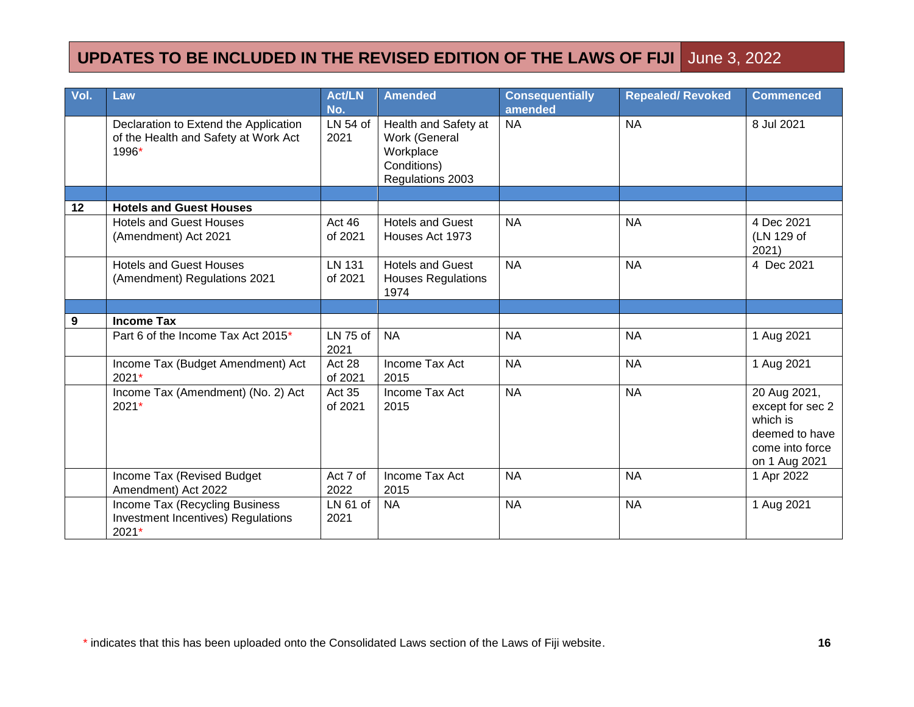| Vol. | Law                                                                                    | <b>Act/LN</b><br>No. | <b>Amended</b>                                                                        | <b>Consequentially</b><br>amended | <b>Repealed/ Revoked</b> | <b>Commenced</b>                                                                                   |
|------|----------------------------------------------------------------------------------------|----------------------|---------------------------------------------------------------------------------------|-----------------------------------|--------------------------|----------------------------------------------------------------------------------------------------|
|      | Declaration to Extend the Application<br>of the Health and Safety at Work Act<br>1996* | $LN54$ of<br>2021    | Health and Safety at<br>Work (General<br>Workplace<br>Conditions)<br>Regulations 2003 | <b>NA</b>                         | <b>NA</b>                | 8 Jul 2021                                                                                         |
|      |                                                                                        |                      |                                                                                       |                                   |                          |                                                                                                    |
| 12   | <b>Hotels and Guest Houses</b>                                                         |                      |                                                                                       |                                   |                          |                                                                                                    |
|      | <b>Hotels and Guest Houses</b><br>(Amendment) Act 2021                                 | Act 46<br>of 2021    | <b>Hotels and Guest</b><br>Houses Act 1973                                            | <b>NA</b>                         | <b>NA</b>                | 4 Dec 2021<br>(LN 129 of<br>2021)                                                                  |
|      | <b>Hotels and Guest Houses</b><br>(Amendment) Regulations 2021                         | LN 131<br>of 2021    | <b>Hotels and Guest</b><br>Houses Regulations<br>1974                                 | <b>NA</b>                         | <b>NA</b>                | 4 Dec 2021                                                                                         |
|      |                                                                                        |                      |                                                                                       |                                   |                          |                                                                                                    |
| 9    | <b>Income Tax</b>                                                                      |                      |                                                                                       |                                   |                          |                                                                                                    |
|      | Part 6 of the Income Tax Act 2015*                                                     | LN 75 of<br>2021     | <b>NA</b>                                                                             | <b>NA</b>                         | <b>NA</b>                | 1 Aug 2021                                                                                         |
|      | Income Tax (Budget Amendment) Act<br>2021*                                             | Act 28<br>of 2021    | Income Tax Act<br>2015                                                                | <b>NA</b>                         | <b>NA</b>                | 1 Aug 2021                                                                                         |
|      | Income Tax (Amendment) (No. 2) Act<br>2021*                                            | Act 35<br>of 2021    | Income Tax Act<br>2015                                                                | <b>NA</b>                         | <b>NA</b>                | 20 Aug 2021,<br>except for sec 2<br>which is<br>deemed to have<br>come into force<br>on 1 Aug 2021 |
|      | Income Tax (Revised Budget<br>Amendment) Act 2022                                      | Act 7 of<br>2022     | Income Tax Act<br>2015                                                                | <b>NA</b>                         | <b>NA</b>                | 1 Apr 2022                                                                                         |
|      | Income Tax (Recycling Business<br><b>Investment Incentives) Regulations</b><br>2021*   | LN 61 of<br>2021     | <b>NA</b>                                                                             | <b>NA</b>                         | <b>NA</b>                | 1 Aug 2021                                                                                         |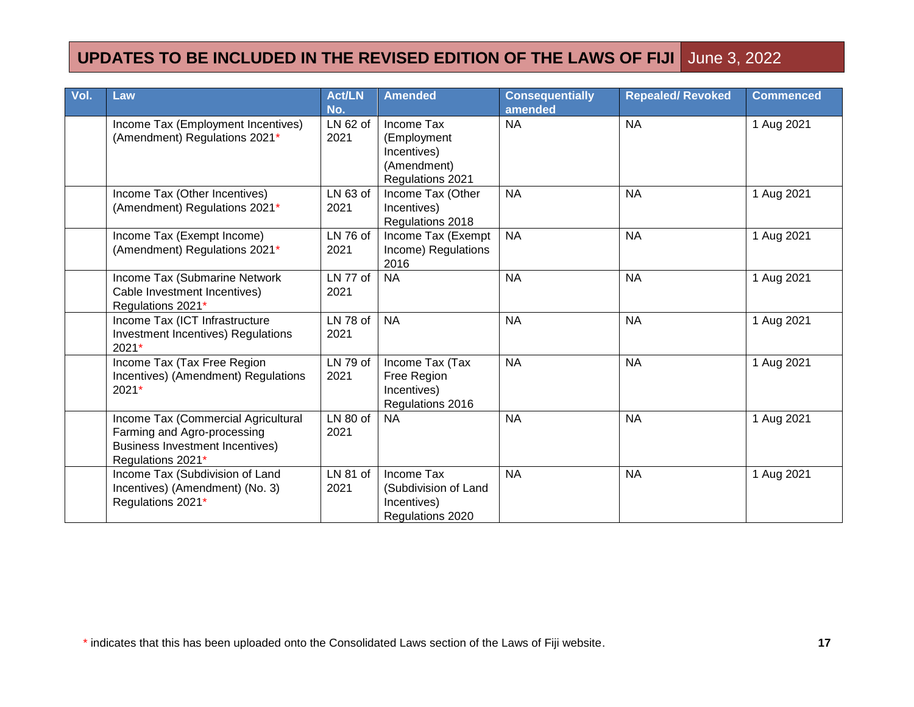| Vol. | Law                                                                                                                        | <b>Act/LN</b><br>No. | <b>Amended</b>                                                              | <b>Consequentially</b><br>amended | <b>Repealed/ Revoked</b> | <b>Commenced</b> |
|------|----------------------------------------------------------------------------------------------------------------------------|----------------------|-----------------------------------------------------------------------------|-----------------------------------|--------------------------|------------------|
|      | Income Tax (Employment Incentives)<br>(Amendment) Regulations 2021*                                                        | LN 62 of<br>2021     | Income Tax<br>(Employment<br>Incentives)<br>(Amendment)<br>Regulations 2021 | <b>NA</b>                         | <b>NA</b>                | 1 Aug 2021       |
|      | Income Tax (Other Incentives)<br>(Amendment) Regulations 2021*                                                             | $LN63$ of<br>2021    | Income Tax (Other<br>Incentives)<br>Regulations 2018                        | <b>NA</b>                         | <b>NA</b>                | 1 Aug 2021       |
|      | Income Tax (Exempt Income)<br>(Amendment) Regulations 2021*                                                                | LN 76 of<br>2021     | Income Tax (Exempt<br>Income) Regulations<br>2016                           | <b>NA</b>                         | <b>NA</b>                | 1 Aug 2021       |
|      | Income Tax (Submarine Network<br>Cable Investment Incentives)<br>Regulations 2021*                                         | LN 77 of<br>2021     | <b>NA</b>                                                                   | <b>NA</b>                         | <b>NA</b>                | 1 Aug 2021       |
|      | Income Tax (ICT Infrastructure<br>Investment Incentives) Regulations<br>2021*                                              | LN 78 of<br>2021     | <b>NA</b>                                                                   | <b>NA</b>                         | <b>NA</b>                | 1 Aug 2021       |
|      | Income Tax (Tax Free Region<br>Incentives) (Amendment) Regulations<br>2021*                                                | LN 79 of<br>2021     | Income Tax (Tax<br>Free Region<br>Incentives)<br>Regulations 2016           | <b>NA</b>                         | <b>NA</b>                | 1 Aug 2021       |
|      | Income Tax (Commercial Agricultural<br>Farming and Agro-processing<br>Business Investment Incentives)<br>Regulations 2021* | LN 80 of<br>2021     | <b>NA</b>                                                                   | <b>NA</b>                         | <b>NA</b>                | 1 Aug 2021       |
|      | Income Tax (Subdivision of Land<br>Incentives) (Amendment) (No. 3)<br>Regulations 2021*                                    | LN 81 of<br>2021     | Income Tax<br>(Subdivision of Land<br>Incentives)<br>Regulations 2020       | <b>NA</b>                         | <b>NA</b>                | 1 Aug 2021       |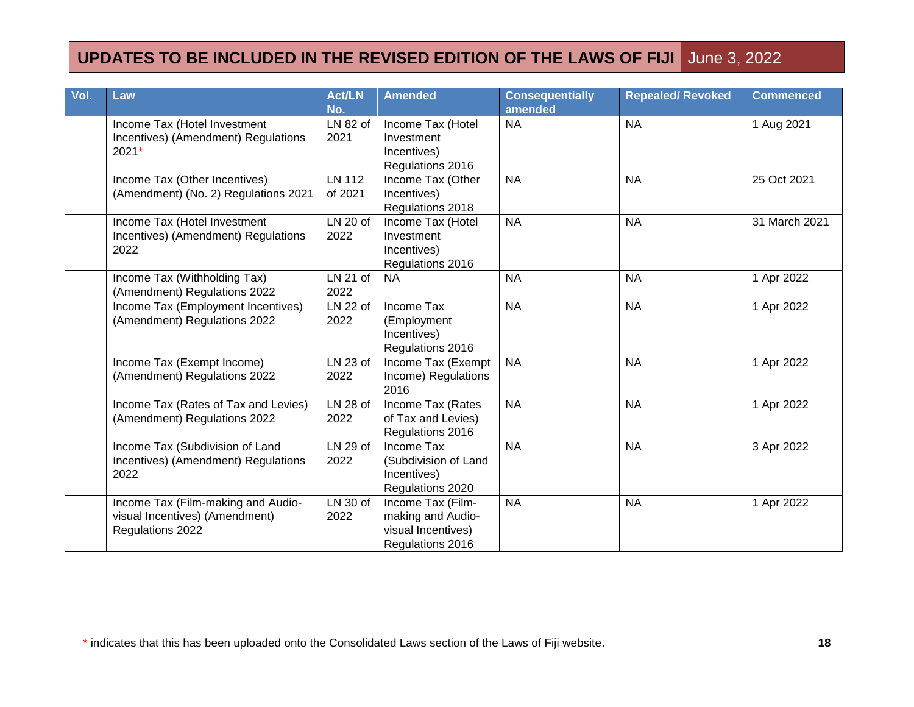| Vol. | Law                                                                                      | <b>Act/LN</b><br>No.     | <b>Amended</b>                                                                   | <b>Consequentially</b><br>amended | <b>Repealed/ Revoked</b> | <b>Commenced</b> |
|------|------------------------------------------------------------------------------------------|--------------------------|----------------------------------------------------------------------------------|-----------------------------------|--------------------------|------------------|
|      | Income Tax (Hotel Investment<br>Incentives) (Amendment) Regulations<br>2021*             | LN 82 of<br>2021         | Income Tax (Hotel<br>Investment<br>Incentives)<br>Regulations 2016               | <b>NA</b>                         | <b>NA</b>                | 1 Aug 2021       |
|      | Income Tax (Other Incentives)<br>(Amendment) (No. 2) Regulations 2021                    | <b>LN 112</b><br>of 2021 | Income Tax (Other<br>Incentives)<br>Regulations 2018                             | <b>NA</b>                         | <b>NA</b>                | 25 Oct 2021      |
|      | Income Tax (Hotel Investment<br>Incentives) (Amendment) Regulations<br>2022              | LN 20 of<br>2022         | Income Tax (Hotel<br>Investment<br>Incentives)<br>Regulations 2016               | <b>NA</b>                         | <b>NA</b>                | 31 March 2021    |
|      | Income Tax (Withholding Tax)<br>(Amendment) Regulations 2022                             | LN 21 of<br>2022         | <b>NA</b>                                                                        | <b>NA</b>                         | <b>NA</b>                | 1 Apr 2022       |
|      | Income Tax (Employment Incentives)<br>(Amendment) Regulations 2022                       | LN 22 of<br>2022         | Income Tax<br>(Employment<br>Incentives)<br>Regulations 2016                     | <b>NA</b>                         | <b>NA</b>                | 1 Apr 2022       |
|      | Income Tax (Exempt Income)<br>(Amendment) Regulations 2022                               | LN 23 of<br>2022         | Income Tax (Exempt<br>Income) Regulations<br>2016                                | <b>NA</b>                         | <b>NA</b>                | 1 Apr 2022       |
|      | Income Tax (Rates of Tax and Levies)<br>(Amendment) Regulations 2022                     | LN 28 of<br>2022         | Income Tax (Rates<br>of Tax and Levies)<br>Regulations 2016                      | <b>NA</b>                         | <b>NA</b>                | 1 Apr 2022       |
|      | Income Tax (Subdivision of Land<br>Incentives) (Amendment) Regulations<br>2022           | LN 29 of<br>2022         | Income Tax<br>(Subdivision of Land<br>Incentives)<br>Regulations 2020            | <b>NA</b>                         | <b>NA</b>                | 3 Apr 2022       |
|      | Income Tax (Film-making and Audio-<br>visual Incentives) (Amendment)<br>Regulations 2022 | LN 30 of<br>2022         | Income Tax (Film-<br>making and Audio-<br>visual Incentives)<br>Regulations 2016 | <b>NA</b>                         | <b>NA</b>                | 1 Apr 2022       |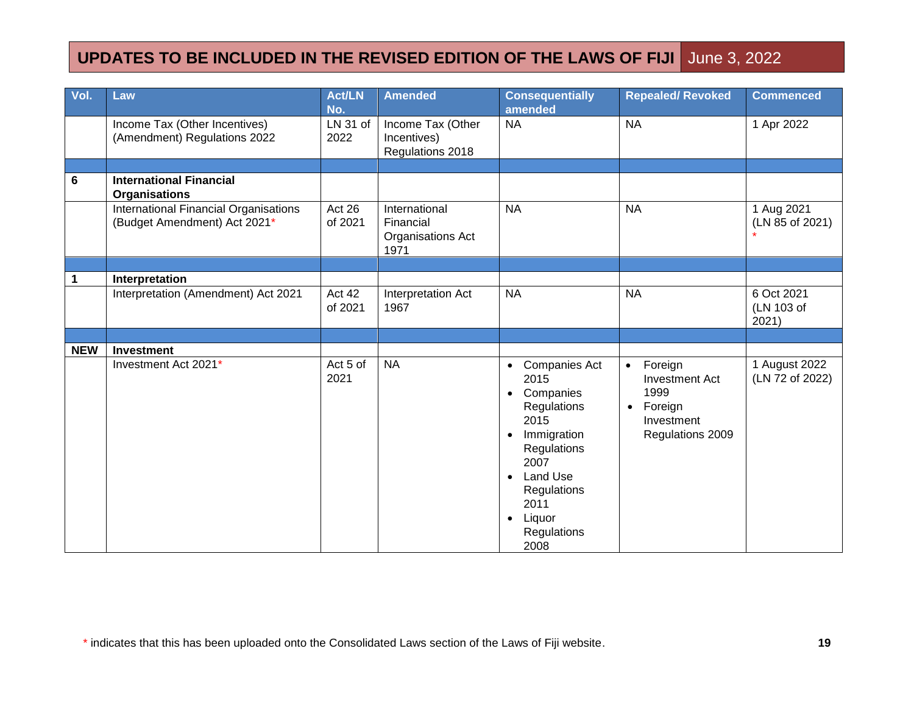| Vol.       | Law                                                                   | <b>Act/LN</b><br>No. | <b>Amended</b>                                          | <b>Consequentially</b><br>amended                                                                                                                                                                                         | <b>Repealed/Revoked</b>                                                                                         | <b>Commenced</b>                  |
|------------|-----------------------------------------------------------------------|----------------------|---------------------------------------------------------|---------------------------------------------------------------------------------------------------------------------------------------------------------------------------------------------------------------------------|-----------------------------------------------------------------------------------------------------------------|-----------------------------------|
|            | Income Tax (Other Incentives)<br>(Amendment) Regulations 2022         | LN 31 of<br>2022     | Income Tax (Other<br>Incentives)<br>Regulations 2018    | <b>NA</b>                                                                                                                                                                                                                 | <b>NA</b>                                                                                                       | 1 Apr 2022                        |
|            |                                                                       |                      |                                                         |                                                                                                                                                                                                                           |                                                                                                                 |                                   |
| 6          | <b>International Financial</b><br><b>Organisations</b>                |                      |                                                         |                                                                                                                                                                                                                           |                                                                                                                 |                                   |
|            | International Financial Organisations<br>(Budget Amendment) Act 2021* | Act 26<br>of 2021    | International<br>Financial<br>Organisations Act<br>1971 | <b>NA</b>                                                                                                                                                                                                                 | <b>NA</b>                                                                                                       | 1 Aug 2021<br>(LN 85 of 2021)     |
|            |                                                                       |                      |                                                         |                                                                                                                                                                                                                           |                                                                                                                 |                                   |
| 1          | Interpretation                                                        |                      |                                                         |                                                                                                                                                                                                                           |                                                                                                                 |                                   |
|            | Interpretation (Amendment) Act 2021                                   | Act 42<br>of 2021    | Interpretation Act<br>1967                              | <b>NA</b>                                                                                                                                                                                                                 | <b>NA</b>                                                                                                       | 6 Oct 2021<br>(LN 103 of<br>2021) |
|            |                                                                       |                      |                                                         |                                                                                                                                                                                                                           |                                                                                                                 |                                   |
| <b>NEW</b> | Investment                                                            |                      |                                                         |                                                                                                                                                                                                                           |                                                                                                                 |                                   |
|            | Investment Act 2021*                                                  | Act 5 of<br>2021     | <b>NA</b>                                               | • Companies Act<br>2015<br>Companies<br>$\bullet$<br>Regulations<br>2015<br>Immigration<br>$\bullet$<br>Regulations<br>2007<br>Land Use<br>$\bullet$<br>Regulations<br>2011<br>Liquor<br>$\bullet$<br>Regulations<br>2008 | Foreign<br>$\bullet$<br><b>Investment Act</b><br>1999<br>Foreign<br>$\bullet$<br>Investment<br>Regulations 2009 | 1 August 2022<br>(LN 72 of 2022)  |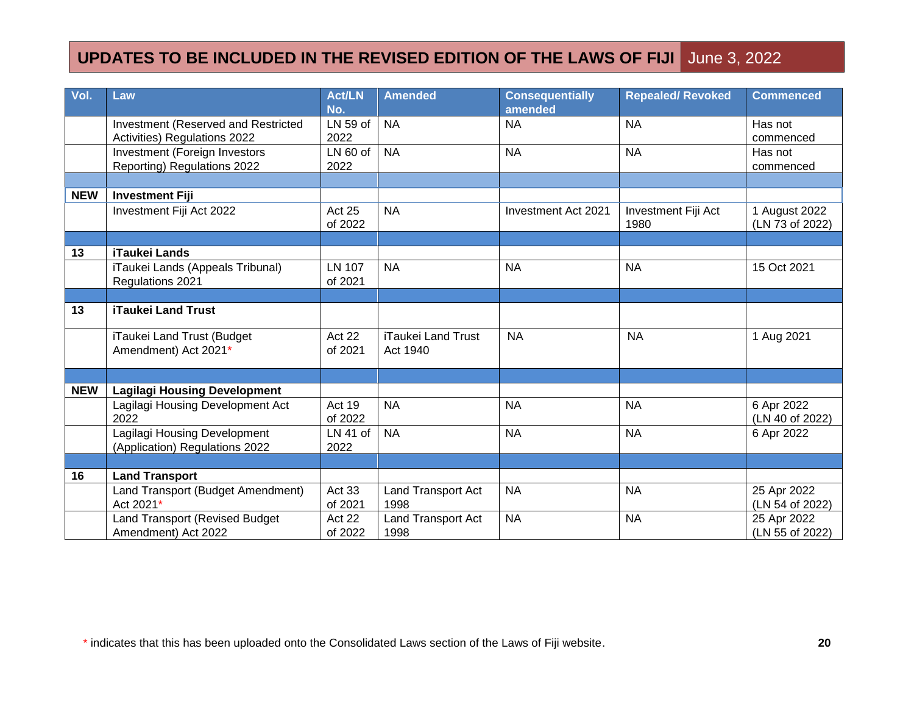| Vol.       | Law                                                                        | <b>Act/LN</b><br>No.     | Amended                               | <b>Consequentially</b><br>amended | <b>Repealed/ Revoked</b>    | <b>Commenced</b>                 |
|------------|----------------------------------------------------------------------------|--------------------------|---------------------------------------|-----------------------------------|-----------------------------|----------------------------------|
|            | <b>Investment (Reserved and Restricted</b><br>Activities) Regulations 2022 | LN 59 of<br>2022         | <b>NA</b>                             | <b>NA</b>                         | <b>NA</b>                   | Has not<br>commenced             |
|            | Investment (Foreign Investors<br>Reporting) Regulations 2022               | $LN60$ of<br>2022        | <b>NA</b>                             | <b>NA</b>                         | <b>NA</b>                   | Has not<br>commenced             |
|            |                                                                            |                          |                                       |                                   |                             |                                  |
| <b>NEW</b> | <b>Investment Fiji</b>                                                     |                          |                                       |                                   |                             |                                  |
|            | Investment Fiji Act 2022                                                   | Act 25<br>of 2022        | <b>NA</b>                             | Investment Act 2021               | Investment Fiji Act<br>1980 | 1 August 2022<br>(LN 73 of 2022) |
|            |                                                                            |                          |                                       |                                   |                             |                                  |
| 13         | <b>iTaukei Lands</b>                                                       |                          |                                       |                                   |                             |                                  |
|            | iTaukei Lands (Appeals Tribunal)<br>Regulations 2021                       | <b>LN 107</b><br>of 2021 | <b>NA</b>                             | <b>NA</b>                         | <b>NA</b>                   | 15 Oct 2021                      |
|            |                                                                            |                          |                                       |                                   |                             |                                  |
| 13         | <b>iTaukei Land Trust</b>                                                  |                          |                                       |                                   |                             |                                  |
|            | iTaukei Land Trust (Budget<br>Amendment) Act 2021*                         | Act 22<br>of 2021        | <b>iTaukei Land Trust</b><br>Act 1940 | <b>NA</b>                         | <b>NA</b>                   | 1 Aug 2021                       |
|            |                                                                            |                          |                                       |                                   |                             |                                  |
| <b>NEW</b> | <b>Lagilagi Housing Development</b>                                        |                          |                                       |                                   |                             |                                  |
|            | Lagilagi Housing Development Act<br>2022                                   | Act 19<br>of 2022        | <b>NA</b>                             | <b>NA</b>                         | <b>NA</b>                   | 6 Apr 2022<br>(LN 40 of 2022)    |
|            | Lagilagi Housing Development<br>(Application) Regulations 2022             | $LN$ 41 of<br>2022       | <b>NA</b>                             | <b>NA</b>                         | <b>NA</b>                   | 6 Apr 2022                       |
|            |                                                                            |                          |                                       |                                   |                             |                                  |
| 16         | <b>Land Transport</b>                                                      |                          |                                       |                                   |                             |                                  |
|            | Land Transport (Budget Amendment)<br>Act 2021*                             | Act 33<br>of 2021        | <b>Land Transport Act</b><br>1998     | <b>NA</b>                         | <b>NA</b>                   | 25 Apr 2022<br>(LN 54 of 2022)   |
|            | Land Transport (Revised Budget<br>Amendment) Act 2022                      | Act 22<br>of 2022        | Land Transport Act<br>1998            | <b>NA</b>                         | <b>NA</b>                   | 25 Apr 2022<br>(LN 55 of 2022)   |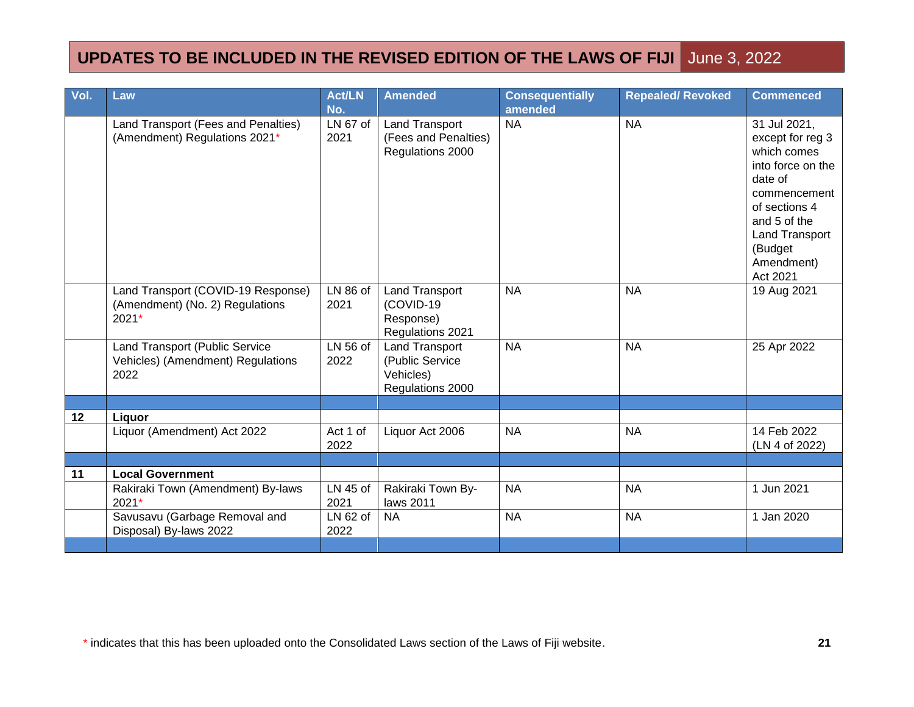| Vol. | Law                                                                            | <b>Act/LN</b><br>No. | <b>Amended</b>                                                            | <b>Consequentially</b><br>amended | <b>Repealed/ Revoked</b> | <b>Commenced</b>                                                                                                                                                                        |
|------|--------------------------------------------------------------------------------|----------------------|---------------------------------------------------------------------------|-----------------------------------|--------------------------|-----------------------------------------------------------------------------------------------------------------------------------------------------------------------------------------|
|      | Land Transport (Fees and Penalties)<br>(Amendment) Regulations 2021*           | LN 67 of<br>2021     | <b>Land Transport</b><br>(Fees and Penalties)<br>Regulations 2000         | <b>NA</b>                         | <b>NA</b>                | 31 Jul 2021,<br>except for reg 3<br>which comes<br>into force on the<br>date of<br>commencement<br>of sections 4<br>and 5 of the<br>Land Transport<br>(Budget<br>Amendment)<br>Act 2021 |
|      | Land Transport (COVID-19 Response)<br>(Amendment) (No. 2) Regulations<br>2021* | LN 86 of<br>2021     | <b>Land Transport</b><br>(COVID-19<br>Response)<br>Regulations 2021       | <b>NA</b>                         | <b>NA</b>                | 19 Aug 2021                                                                                                                                                                             |
|      | Land Transport (Public Service<br>Vehicles) (Amendment) Regulations<br>2022    | LN 56 of<br>2022     | <b>Land Transport</b><br>(Public Service<br>Vehicles)<br>Regulations 2000 | <b>NA</b>                         | <b>NA</b>                | 25 Apr 2022                                                                                                                                                                             |
|      |                                                                                |                      |                                                                           |                                   |                          |                                                                                                                                                                                         |
| 12   | Liquor<br>Liquor (Amendment) Act 2022                                          | Act 1 of<br>2022     | Liquor Act 2006                                                           | <b>NA</b>                         | <b>NA</b>                | 14 Feb 2022<br>(LN 4 of 2022)                                                                                                                                                           |
|      |                                                                                |                      |                                                                           |                                   |                          |                                                                                                                                                                                         |
| 11   | <b>Local Government</b>                                                        |                      |                                                                           |                                   |                          |                                                                                                                                                                                         |
|      | Rakiraki Town (Amendment) By-laws<br>2021*                                     | LN 45 of<br>2021     | Rakiraki Town By-<br>laws 2011                                            | <b>NA</b>                         | <b>NA</b>                | 1 Jun 2021                                                                                                                                                                              |
|      | Savusavu (Garbage Removal and<br>Disposal) By-laws 2022                        | LN 62 of<br>2022     | <b>NA</b>                                                                 | <b>NA</b>                         | <b>NA</b>                | 1 Jan 2020                                                                                                                                                                              |
|      |                                                                                |                      |                                                                           |                                   |                          |                                                                                                                                                                                         |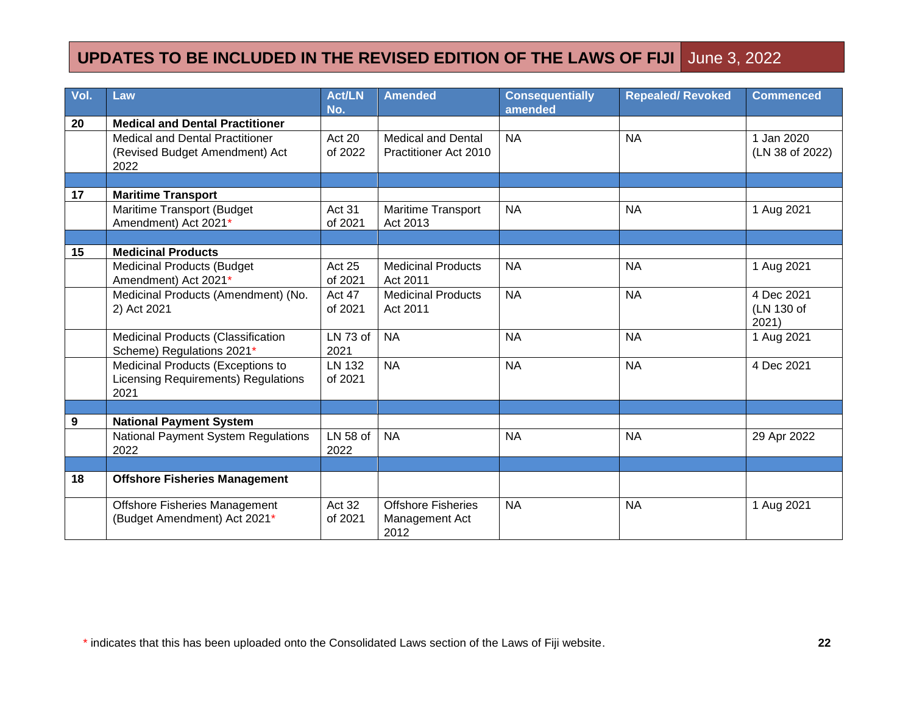| Vol. | Law                                                                                     | <b>Act/LN</b><br>No.     | <b>Amended</b>                                      | <b>Consequentially</b><br>amended | <b>Repealed/ Revoked</b> | <b>Commenced</b>                  |
|------|-----------------------------------------------------------------------------------------|--------------------------|-----------------------------------------------------|-----------------------------------|--------------------------|-----------------------------------|
| 20   | <b>Medical and Dental Practitioner</b>                                                  |                          |                                                     |                                   |                          |                                   |
|      | <b>Medical and Dental Practitioner</b><br>(Revised Budget Amendment) Act<br>2022        | Act 20<br>of 2022        | <b>Medical and Dental</b><br>Practitioner Act 2010  | <b>NA</b>                         | <b>NA</b>                | 1 Jan 2020<br>(LN 38 of 2022)     |
|      |                                                                                         |                          |                                                     |                                   |                          |                                   |
| 17   | <b>Maritime Transport</b>                                                               |                          |                                                     |                                   |                          |                                   |
|      | Maritime Transport (Budget<br>Amendment) Act 2021*                                      | Act 31<br>of 2021        | <b>Maritime Transport</b><br>Act 2013               | <b>NA</b>                         | <b>NA</b>                | 1 Aug 2021                        |
|      |                                                                                         |                          |                                                     |                                   |                          |                                   |
| 15   | <b>Medicinal Products</b>                                                               |                          |                                                     |                                   |                          |                                   |
|      | <b>Medicinal Products (Budget</b><br>Amendment) Act 2021*                               | Act 25<br>of 2021        | <b>Medicinal Products</b><br>Act 2011               | <b>NA</b>                         | <b>NA</b>                | 1 Aug 2021                        |
|      | Medicinal Products (Amendment) (No.<br>2) Act 2021                                      | Act 47<br>of 2021        | <b>Medicinal Products</b><br>Act 2011               | <b>NA</b>                         | <b>NA</b>                | 4 Dec 2021<br>(LN 130 of<br>2021) |
|      | Medicinal Products (Classification<br>Scheme) Regulations 2021*                         | LN 73 of<br>2021         | <b>NA</b>                                           | <b>NA</b>                         | <b>NA</b>                | 1 Aug 2021                        |
|      | Medicinal Products (Exceptions to<br><b>Licensing Requirements) Regulations</b><br>2021 | <b>LN 132</b><br>of 2021 | <b>NA</b>                                           | <b>NA</b>                         | <b>NA</b>                | 4 Dec 2021                        |
|      |                                                                                         |                          |                                                     |                                   |                          |                                   |
| 9    | <b>National Payment System</b>                                                          |                          |                                                     |                                   |                          |                                   |
|      | <b>National Payment System Regulations</b><br>2022                                      | LN 58 of<br>2022         | <b>NA</b>                                           | <b>NA</b>                         | <b>NA</b>                | 29 Apr 2022                       |
|      |                                                                                         |                          |                                                     |                                   |                          |                                   |
| 18   | <b>Offshore Fisheries Management</b>                                                    |                          |                                                     |                                   |                          |                                   |
|      | <b>Offshore Fisheries Management</b><br>(Budget Amendment) Act 2021*                    | Act 32<br>of 2021        | <b>Offshore Fisheries</b><br>Management Act<br>2012 | <b>NA</b>                         | <b>NA</b>                | 1 Aug 2021                        |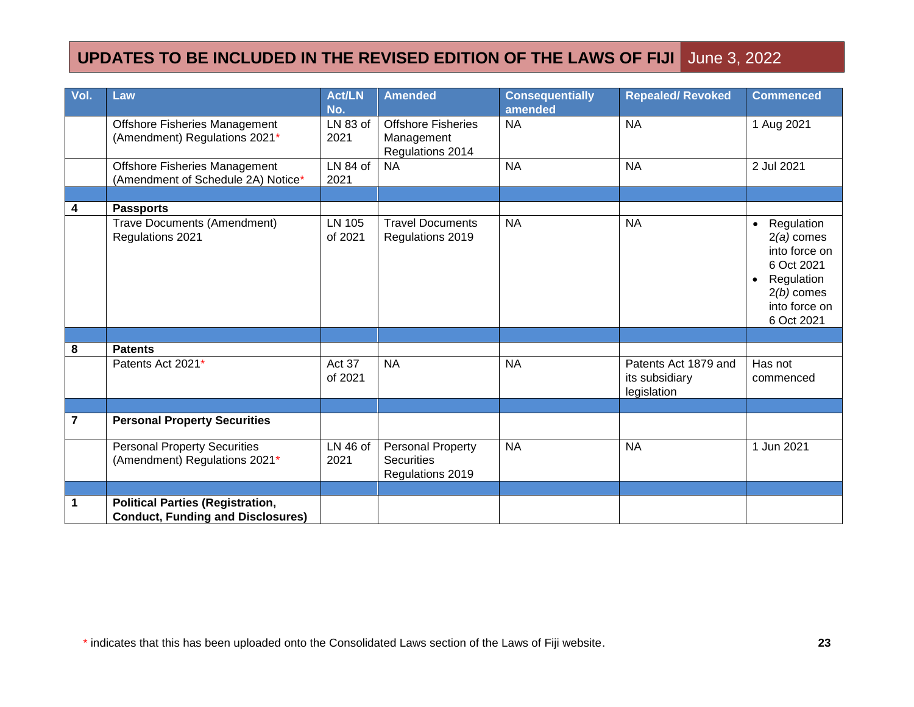| Vol. | Law                                                                                 | <b>Act/LN</b><br>No. | <b>Amended</b>                                              | <b>Consequentially</b><br>amended | <b>Repealed/ Revoked</b>                              | <b>Commenced</b>                                                                                                                                 |
|------|-------------------------------------------------------------------------------------|----------------------|-------------------------------------------------------------|-----------------------------------|-------------------------------------------------------|--------------------------------------------------------------------------------------------------------------------------------------------------|
|      | <b>Offshore Fisheries Management</b><br>(Amendment) Regulations 2021*               | LN 83 of<br>2021     | <b>Offshore Fisheries</b><br>Management<br>Regulations 2014 | <b>NA</b>                         | <b>NA</b>                                             | 1 Aug 2021                                                                                                                                       |
|      | Offshore Fisheries Management<br>(Amendment of Schedule 2A) Notice*                 | LN 84 of<br>2021     | <b>NA</b>                                                   | <b>NA</b>                         | <b>NA</b>                                             | 2 Jul 2021                                                                                                                                       |
|      |                                                                                     |                      |                                                             |                                   |                                                       |                                                                                                                                                  |
| 4    | <b>Passports</b>                                                                    |                      |                                                             |                                   |                                                       |                                                                                                                                                  |
|      | Trave Documents (Amendment)<br>Regulations 2021                                     | LN 105<br>of 2021    | <b>Travel Documents</b><br>Regulations 2019                 | <b>NA</b>                         | <b>NA</b>                                             | Regulation<br>$\bullet$<br>$2(a)$ comes<br>into force on<br>6 Oct 2021<br>Regulation<br>$\bullet$<br>$2(b)$ comes<br>into force on<br>6 Oct 2021 |
|      |                                                                                     |                      |                                                             |                                   |                                                       |                                                                                                                                                  |
| 8    | <b>Patents</b>                                                                      |                      |                                                             |                                   |                                                       |                                                                                                                                                  |
|      | Patents Act 2021*                                                                   | Act 37<br>of 2021    | <b>NA</b>                                                   | <b>NA</b>                         | Patents Act 1879 and<br>its subsidiary<br>legislation | Has not<br>commenced                                                                                                                             |
|      |                                                                                     |                      |                                                             |                                   |                                                       |                                                                                                                                                  |
| 7    | <b>Personal Property Securities</b>                                                 |                      |                                                             |                                   |                                                       |                                                                                                                                                  |
|      | <b>Personal Property Securities</b><br>(Amendment) Regulations 2021*                | LN 46 of<br>2021     | Personal Property<br><b>Securities</b><br>Regulations 2019  | <b>NA</b>                         | <b>NA</b>                                             | 1 Jun 2021                                                                                                                                       |
|      |                                                                                     |                      |                                                             |                                   |                                                       |                                                                                                                                                  |
| 1    | <b>Political Parties (Registration,</b><br><b>Conduct, Funding and Disclosures)</b> |                      |                                                             |                                   |                                                       |                                                                                                                                                  |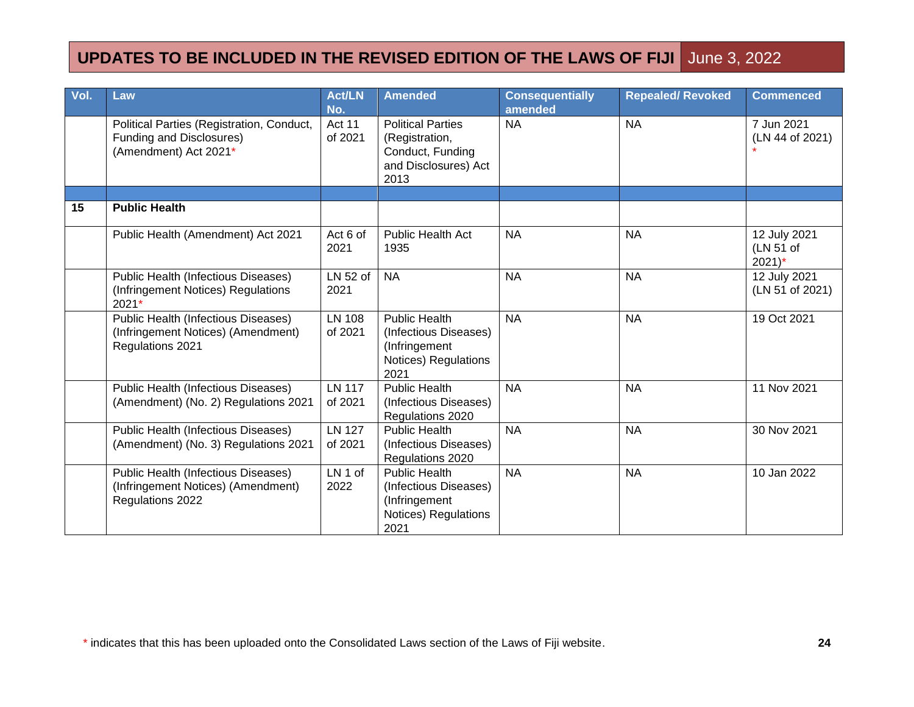| Vol. | Law                                                                                                  | <b>Act/LN</b><br>No.     | <b>Amended</b>                                                                                 | <b>Consequentially</b><br>amended | <b>Repealed/ Revoked</b> | <b>Commenced</b>                                 |
|------|------------------------------------------------------------------------------------------------------|--------------------------|------------------------------------------------------------------------------------------------|-----------------------------------|--------------------------|--------------------------------------------------|
|      | Political Parties (Registration, Conduct,<br>Funding and Disclosures)<br>(Amendment) Act 2021*       | <b>Act 11</b><br>of 2021 | <b>Political Parties</b><br>(Registration,<br>Conduct, Funding<br>and Disclosures) Act<br>2013 | <b>NA</b>                         | <b>NA</b>                | 7 Jun 2021<br>(LN 44 of 2021)                    |
|      |                                                                                                      |                          |                                                                                                |                                   |                          |                                                  |
| 15   | <b>Public Health</b>                                                                                 |                          |                                                                                                |                                   |                          |                                                  |
|      | Public Health (Amendment) Act 2021                                                                   | Act 6 of<br>2021         | <b>Public Health Act</b><br>1935                                                               | <b>NA</b>                         | <b>NA</b>                | 12 July 2021<br>(LN 51 of<br>$2021$ <sup>*</sup> |
|      | <b>Public Health (Infectious Diseases)</b><br>(Infringement Notices) Regulations<br>2021*            | LN 52 of<br>2021         | <b>NA</b>                                                                                      | <b>NA</b>                         | <b>NA</b>                | 12 July 2021<br>(LN 51 of 2021)                  |
|      | <b>Public Health (Infectious Diseases)</b><br>(Infringement Notices) (Amendment)<br>Regulations 2021 | <b>LN 108</b><br>of 2021 | <b>Public Health</b><br>(Infectious Diseases)<br>(Infringement<br>Notices) Regulations<br>2021 | <b>NA</b>                         | <b>NA</b>                | 19 Oct 2021                                      |
|      | <b>Public Health (Infectious Diseases)</b><br>(Amendment) (No. 2) Regulations 2021                   | <b>LN 117</b><br>of 2021 | <b>Public Health</b><br>(Infectious Diseases)<br>Regulations 2020                              | <b>NA</b>                         | <b>NA</b>                | 11 Nov 2021                                      |
|      | <b>Public Health (Infectious Diseases)</b><br>(Amendment) (No. 3) Regulations 2021                   | <b>LN 127</b><br>of 2021 | <b>Public Health</b><br>(Infectious Diseases)<br>Regulations 2020                              | <b>NA</b>                         | <b>NA</b>                | 30 Nov 2021                                      |
|      | Public Health (Infectious Diseases)<br>(Infringement Notices) (Amendment)<br>Regulations 2022        | LN 1 of<br>2022          | <b>Public Health</b><br>(Infectious Diseases)<br>(Infringement<br>Notices) Regulations<br>2021 | <b>NA</b>                         | <b>NA</b>                | 10 Jan 2022                                      |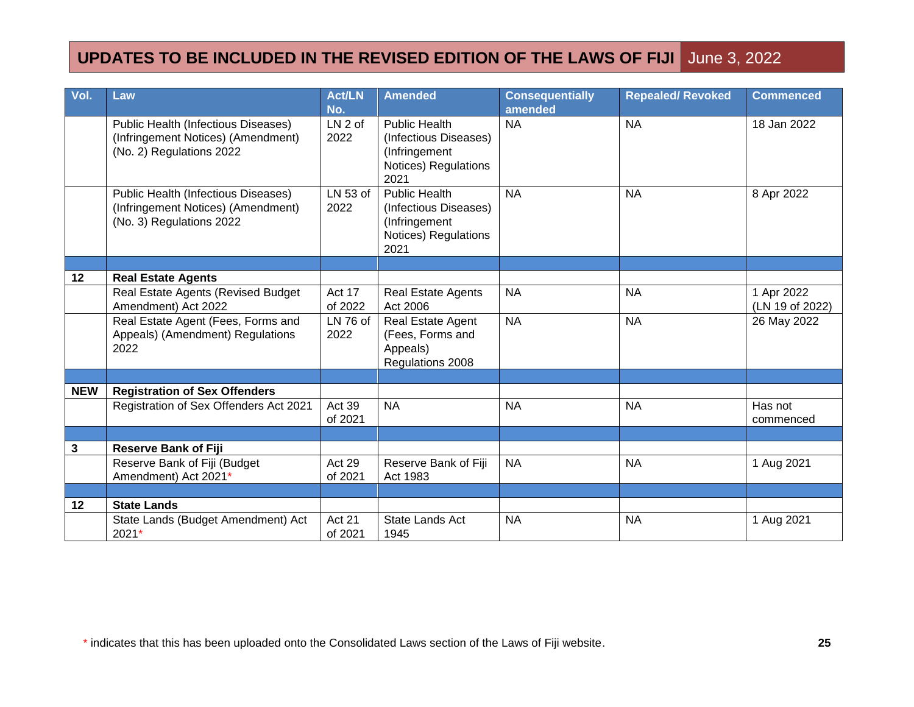| Vol.         | Law                                                                                                          | <b>Act/LN</b><br>No.     | <b>Amended</b>                                                                                 | <b>Consequentially</b><br>amended | <b>Repealed/ Revoked</b> | <b>Commenced</b>              |
|--------------|--------------------------------------------------------------------------------------------------------------|--------------------------|------------------------------------------------------------------------------------------------|-----------------------------------|--------------------------|-------------------------------|
|              | <b>Public Health (Infectious Diseases)</b><br>(Infringement Notices) (Amendment)<br>(No. 2) Regulations 2022 | LN 2 of<br>2022          | <b>Public Health</b><br>(Infectious Diseases)<br>(Infringement<br>Notices) Regulations<br>2021 | <b>NA</b>                         | <b>NA</b>                | 18 Jan 2022                   |
|              | Public Health (Infectious Diseases)<br>(Infringement Notices) (Amendment)<br>(No. 3) Regulations 2022        | LN 53 of<br>2022         | <b>Public Health</b><br>(Infectious Diseases)<br>(Infringement<br>Notices) Regulations<br>2021 | <b>NA</b>                         | <b>NA</b>                | 8 Apr 2022                    |
|              |                                                                                                              |                          |                                                                                                |                                   |                          |                               |
| 12           | <b>Real Estate Agents</b>                                                                                    |                          |                                                                                                |                                   |                          |                               |
|              | Real Estate Agents (Revised Budget<br>Amendment) Act 2022                                                    | Act 17<br>of 2022        | <b>Real Estate Agents</b><br>Act 2006                                                          | <b>NA</b>                         | <b>NA</b>                | 1 Apr 2022<br>(LN 19 of 2022) |
|              | Real Estate Agent (Fees, Forms and<br>Appeals) (Amendment) Regulations<br>2022                               | LN 76 of<br>2022         | Real Estate Agent<br>(Fees, Forms and<br>Appeals)<br>Regulations 2008                          | <b>NA</b>                         | <b>NA</b>                | 26 May 2022                   |
|              |                                                                                                              |                          |                                                                                                |                                   |                          |                               |
| <b>NEW</b>   | <b>Registration of Sex Offenders</b>                                                                         |                          |                                                                                                |                                   |                          |                               |
|              | Registration of Sex Offenders Act 2021                                                                       | Act 39<br>of 2021        | <b>NA</b>                                                                                      | <b>NA</b>                         | <b>NA</b>                | Has not<br>commenced          |
|              |                                                                                                              |                          |                                                                                                |                                   |                          |                               |
| $\mathbf{3}$ | <b>Reserve Bank of Fiji</b>                                                                                  |                          |                                                                                                |                                   |                          |                               |
|              | Reserve Bank of Fiji (Budget<br>Amendment) Act 2021*                                                         | Act 29<br>of 2021        | Reserve Bank of Fiji<br>Act 1983                                                               | <b>NA</b>                         | <b>NA</b>                | 1 Aug 2021                    |
|              |                                                                                                              |                          |                                                                                                |                                   |                          |                               |
| 12           | <b>State Lands</b>                                                                                           |                          |                                                                                                |                                   |                          |                               |
|              | State Lands (Budget Amendment) Act<br>2021*                                                                  | <b>Act 21</b><br>of 2021 | State Lands Act<br>1945                                                                        | <b>NA</b>                         | <b>NA</b>                | 1 Aug 2021                    |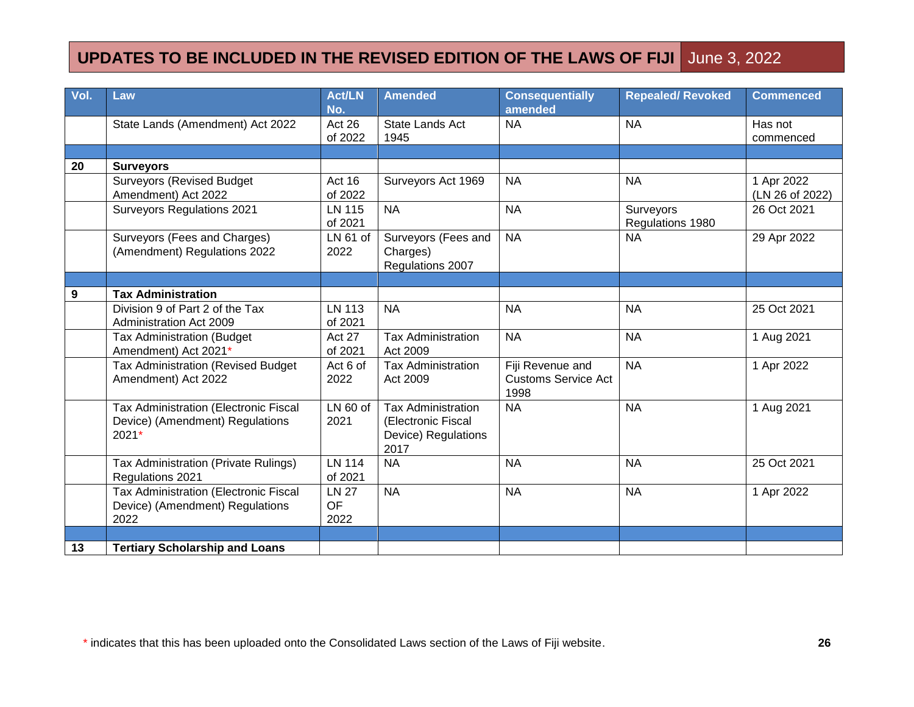| Vol.             | Law                                                                                 | <b>Act/LN</b><br>No.              | <b>Amended</b>                                                                 | <b>Consequentially</b><br>amended                      | <b>Repealed/ Revoked</b>      | <b>Commenced</b>              |
|------------------|-------------------------------------------------------------------------------------|-----------------------------------|--------------------------------------------------------------------------------|--------------------------------------------------------|-------------------------------|-------------------------------|
|                  | State Lands (Amendment) Act 2022                                                    | Act 26<br>of 2022                 | State Lands Act<br>1945                                                        | <b>NA</b>                                              | <b>NA</b>                     | Has not<br>commenced          |
|                  |                                                                                     |                                   |                                                                                |                                                        |                               |                               |
| 20               | <b>Surveyors</b>                                                                    |                                   |                                                                                |                                                        |                               |                               |
|                  | <b>Surveyors (Revised Budget</b><br>Amendment) Act 2022                             | Act 16<br>of 2022                 | Surveyors Act 1969                                                             | <b>NA</b>                                              | <b>NA</b>                     | 1 Apr 2022<br>(LN 26 of 2022) |
|                  | Surveyors Regulations 2021                                                          | <b>LN 115</b><br>of 2021          | <b>NA</b>                                                                      | <b>NA</b>                                              | Surveyors<br>Regulations 1980 | 26 Oct 2021                   |
|                  | Surveyors (Fees and Charges)<br>(Amendment) Regulations 2022                        | LN 61 of<br>2022                  | Surveyors (Fees and<br>Charges)<br>Regulations 2007                            | <b>NA</b>                                              | <b>NA</b>                     | 29 Apr 2022                   |
|                  |                                                                                     |                                   |                                                                                |                                                        |                               |                               |
| $\boldsymbol{9}$ | <b>Tax Administration</b>                                                           |                                   |                                                                                |                                                        |                               |                               |
|                  | Division 9 of Part 2 of the Tax<br><b>Administration Act 2009</b>                   | <b>LN 113</b><br>of 2021          | <b>NA</b>                                                                      | <b>NA</b>                                              | <b>NA</b>                     | 25 Oct 2021                   |
|                  | <b>Tax Administration (Budget</b><br>Amendment) Act 2021*                           | Act 27<br>of 2021                 | <b>Tax Administration</b><br>Act 2009                                          | <b>NA</b>                                              | <b>NA</b>                     | 1 Aug 2021                    |
|                  | <b>Tax Administration (Revised Budget)</b><br>Amendment) Act 2022                   | Act 6 of<br>2022                  | <b>Tax Administration</b><br>Act 2009                                          | Fiji Revenue and<br><b>Customs Service Act</b><br>1998 | <b>NA</b>                     | 1 Apr 2022                    |
|                  | Tax Administration (Electronic Fiscal<br>Device) (Amendment) Regulations<br>$2021*$ | $LN60$ of<br>2021                 | <b>Tax Administration</b><br>(Electronic Fiscal<br>Device) Regulations<br>2017 | <b>NA</b>                                              | <b>NA</b>                     | 1 Aug 2021                    |
|                  | Tax Administration (Private Rulings)<br>Regulations 2021                            | <b>LN 114</b><br>of 2021          | <b>NA</b>                                                                      | <b>NA</b>                                              | <b>NA</b>                     | 25 Oct 2021                   |
|                  | Tax Administration (Electronic Fiscal<br>Device) (Amendment) Regulations<br>2022    | <b>LN 27</b><br><b>OF</b><br>2022 | <b>NA</b>                                                                      | <b>NA</b>                                              | <b>NA</b>                     | 1 Apr 2022                    |
|                  |                                                                                     |                                   |                                                                                |                                                        |                               |                               |
| 13               | <b>Tertiary Scholarship and Loans</b>                                               |                                   |                                                                                |                                                        |                               |                               |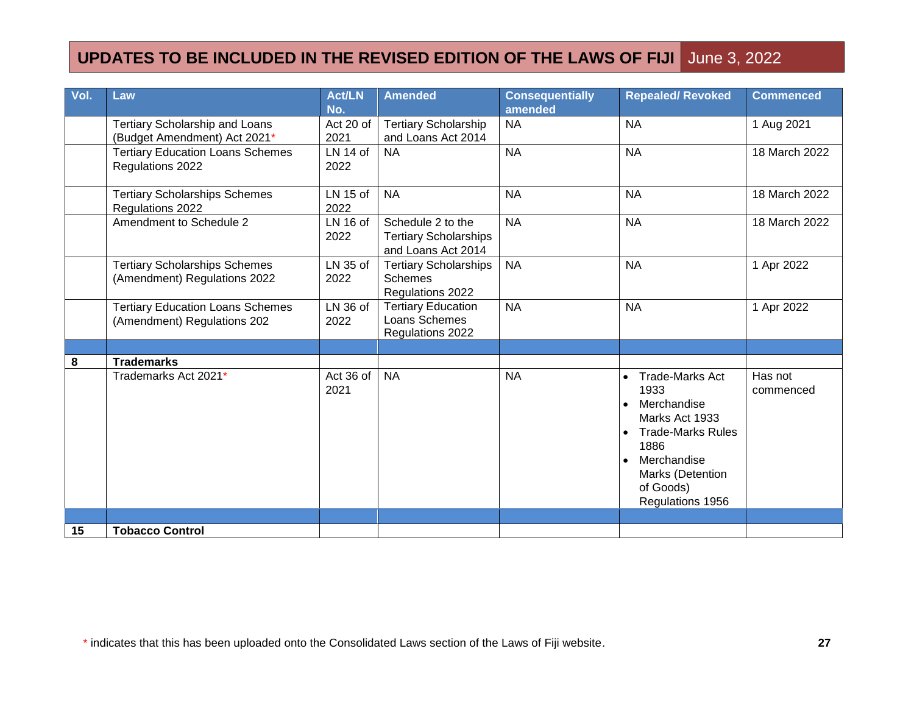| Vol. | Law                                                                    | <b>Act/LN</b><br>No. | <b>Amended</b>                                                          | <b>Consequentially</b><br>amended | <b>Repealed/ Revoked</b>                                                                                                                                                                          | <b>Commenced</b>     |
|------|------------------------------------------------------------------------|----------------------|-------------------------------------------------------------------------|-----------------------------------|---------------------------------------------------------------------------------------------------------------------------------------------------------------------------------------------------|----------------------|
|      | <b>Tertiary Scholarship and Loans</b><br>(Budget Amendment) Act 2021*  | Act 20 of<br>2021    | <b>Tertiary Scholarship</b><br>and Loans Act 2014                       | <b>NA</b>                         | <b>NA</b>                                                                                                                                                                                         | 1 Aug 2021           |
|      | <b>Tertiary Education Loans Schemes</b><br>Regulations 2022            | $LN$ 14 of<br>2022   | <b>NA</b>                                                               | <b>NA</b>                         | <b>NA</b>                                                                                                                                                                                         | 18 March 2022        |
|      | <b>Tertiary Scholarships Schemes</b><br>Regulations 2022               | LN 15 of<br>2022     | <b>NA</b>                                                               | <b>NA</b>                         | <b>NA</b>                                                                                                                                                                                         | 18 March 2022        |
|      | Amendment to Schedule 2                                                | LN 16 of<br>2022     | Schedule 2 to the<br><b>Tertiary Scholarships</b><br>and Loans Act 2014 | <b>NA</b>                         | <b>NA</b>                                                                                                                                                                                         | 18 March 2022        |
|      | <b>Tertiary Scholarships Schemes</b><br>(Amendment) Regulations 2022   | LN 35 of<br>2022     | <b>Tertiary Scholarships</b><br><b>Schemes</b><br>Regulations 2022      | <b>NA</b>                         | <b>NA</b>                                                                                                                                                                                         | 1 Apr 2022           |
|      | <b>Tertiary Education Loans Schemes</b><br>(Amendment) Regulations 202 | LN 36 of<br>2022     | <b>Tertiary Education</b><br>Loans Schemes<br>Regulations 2022          | <b>NA</b>                         | <b>NA</b>                                                                                                                                                                                         | 1 Apr 2022           |
|      |                                                                        |                      |                                                                         |                                   |                                                                                                                                                                                                   |                      |
| 8    | <b>Trademarks</b>                                                      |                      |                                                                         |                                   |                                                                                                                                                                                                   |                      |
|      | Trademarks Act 2021*                                                   | Act 36 of<br>2021    | <b>NA</b>                                                               | <b>NA</b>                         | <b>Trade-Marks Act</b><br>1933<br>Merchandise<br>$\bullet$<br>Marks Act 1933<br><b>Trade-Marks Rules</b><br>$\bullet$<br>1886<br>Merchandise<br>Marks (Detention<br>of Goods)<br>Regulations 1956 | Has not<br>commenced |
|      |                                                                        |                      |                                                                         |                                   |                                                                                                                                                                                                   |                      |
| 15   | <b>Tobacco Control</b>                                                 |                      |                                                                         |                                   |                                                                                                                                                                                                   |                      |